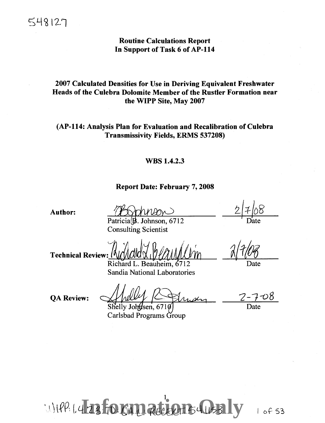# Routine Calculations Report In Support of Task 6 of AP-114

# 2007 Calculated Densities for Use in Deriving Equivalent Freshwater Heads of the Culebra Dolomite Member of the Rustler Formation near the WIPP Site, May 2007

# (AP-114: Analysis Plan for Evaluation and Recalibration of Culebra Transmissivity Fields, ERMS 537208)

### WBS 1.4.2.3

### Report Date: February 7, 2008

Author:

Patricia $\left(\frac{1}{2}\right)$ . Johnson, 6712 Consulting Scientist

Date

Date

Technical Review: (

Richard L. Beauheim, 6712 Sandia National Laboratories

7-7-o8 Date

**OA Review:** 

Shelly Johnsen, 6710

Carlsbad Programs Group

**International Contracts Billy**  $11$ )  $191$ ,  $14.73$ , TD: 0.411, Recent 541153

I of 53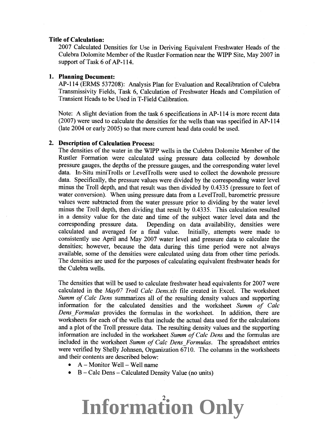#### **Title of Calculation:**

2007 Calculated Densities for Use in Deriving Equivalent Freshwater Heads of the Culebra Dolomite Member of the Rustler Formation near the WIPP Site, May 2007 in support of Task 6 of AP-114.

### **1. Planning Document:**

AP-114 (ERMS 537208): Analysis Plan for Evaluation and Recalibration of Culebra Transmissivity Fields, Task 6, Calculation of Freshwater Heads and Compilation of Transient Heads to be Used in T-Field Calibration.

Note: A slight deviation from the task 6 specifications in AP-114 is more recent data (2007) were used to calculate the densities for the wells than was specified in AP-114 (late 2004 or early 2005) so that more current head data could be used.

#### **2. Description of Calculation Process:**

The densities of the water in the WIPP wells in the Culebra Dolomite Member of the Rustler Formation were calculated using pressure data collected by downhole pressure gauges, the depths of the pressure gauges, and the corresponding water level data. In-Situ miniTrolls or LevelTrolls were used to collect the downhole pressure data. Specifically, the pressure values were divided by the corresponding water level minus the Troll depth, and that result was then divided by 0.4335 (pressure to feet of water conversion). When using pressure data from a LevelTroll, barometric pressure values were subtracted from the water pressure prior to dividing by the water level minus the Troll depth, then dividing that result by 0.4335. This calculation resulted in a density value for the date and time of the subject water level data and the corresponding pressure data. Depending on data availability, densities were calculated and averaged for a final value. Initially, attempts were made to consistently use April and May 2007 water level and pressure data to calculate the densities; however, because the data during this time period were not always available, some of the densities were calculated using data from other time periods. The densities are used for the purposes of calculating equivalent freshwater heads for the Culebra wells.

The densities that will be used to calculate freshwater head equivalents for 2007 were calculated in the *May07 Troll Calc Dens.xls* file created in Excel. The worksheet *Summ of Calc Dens* summarizes all of the resulting density values and supporting information for the calculated densities and the worksheet *Summ of Calc Dens \_Formulas* provides the formulas in the worksheet. In addition, there are worksheets for each of the wells that include the actual data used for the calculations and a plot of the Troll pressure data. The resulting density values and the supporting information are included in the worksheet *Summ of Calc Dens* and the formulas are included in the worksheet *Summ of Calc Dens\_ Formulas.* The spreadsheet entries were verified by Shelly Johnsen, Organization 6710. The columns in the worksheets and their contents are described below:

- $\bullet$  A Monitor Well Well name
- B Calc Dens Calculated Density Value (no units)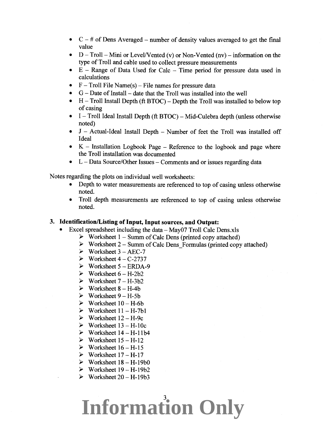- $C \#$  of Dens Averaged number of density values averaged to get the final value
- $D I$  roll Mini or Level/Vented (v) or Non-Vented (nv) information on the type of Troll and cable used to collect pressure measurements
- $E -$  Range of Data Used for Calc  $-$  Time period for pressure data used in calculations
- $F Troll$  File Name(s) File names for pressure data
- $G Date$  of Install date that the Troll was installed into the well
- $H-$  I roll Install Depth (if  $BTOC$ ) Depth the Troll was installed to below top of casing
- $I I$  roll Ideal Install Depth (ft BTOC) Mid-Culebra depth (unless otherwise noted)
- J Actual-Ideal Install Depth Number of feet the Troll was installed off Ideal
- $K -$  Installation Logbook Page  $-$  Reference to the logbook and page where the Troll installation was documented
- L Data Source/Other Issues Comments and or issues regarding data

Notes regarding the plots on individual well worksheets:

- Depth to water measurements are referenced to top of casing unless otherwise noted.
- Troll depth measurements are referenced to top of casing unless otherwise noted.

### **3. Identification/Listing of Input, Input sources, and Output:**

- Excel spreadsheet including the data May07 Troll Calc Dens.xls
	- $\triangleright$  Worksheet 1 Summ of Calc Dens (printed copy attached)
	- $\triangleright$  Worksheet 2 Summ of Calc Dens Formulas (printed copy attached)
	- $\triangleright$  Worksheet 3 AEC-7
	- $\triangleright$  Worksheet 4 C-2737
	- $\triangleright$  Worksheet 5 ERDA-9
	- $\triangleright$  Worksheet  $6 H 2b2$
	- $\triangleright$  Worksheet 7 H-3b2
	- $\triangleright$  Worksheet 8 H-4b
	- $\triangleright$  Worksheet 9 H-5b
	- $\triangleright$  Worksheet 10 H-6b
	- $\triangleright$  Worksheet 11 H-7b1
	- $\triangleright$  Worksheet  $12 H$ -9c
	- $\triangleright$  Worksheet 13 H-10c
	- $\triangleright$  Worksheet 14 H-11b4
	- $\triangleright$  Worksheet 15 H-12
	- $\triangleright$  Worksheet 16 H-15
	- $\triangleright$  Worksheet 17 H-17
	- $\triangleright$  Worksheet 18 H-19b0
	- $\triangleright$  Worksheet 19 H-19b2
	- $\triangleright$  Worksheet 20 H-19b3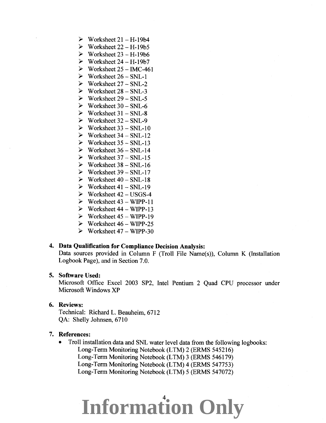- $\triangleright$  Worksheet 21 H-19b4
- $\triangleright$  Worksheet 22 H-19b5
- $\triangleright$  Worksheet 23 H-19b6
- $\triangleright$  Worksheet 24 H-19b7
- $\triangleright$  Worksheet 25 IMC-461
- $\triangleright$  Worksheet 26 SNL-1
- $\triangleright$  Worksheet 27 SNL-2
- $\triangleright$  Worksheet 28 SNL-3
- $\triangleright$  Worksheet 29 SNL-5
- $\triangleright$  Worksheet 30 SNL-6
- $\triangleright$  Worksheet 31 SNL-8
- $\triangleright$  Worksheet 32 SNL-9
- $\triangleright$  Worksheet 33 SNL-10
- $\triangleright$  Worksheet 34 SNL-12
- $\triangleright$  Worksheet 35 SNL-13
- $\triangleright$  Worksheet 36 SNL-14
- $\triangleright$  Worksheet 37 SNL-15
- $\triangleright$  Worksheet 38 SNL-16
- $\triangleright$  Worksheet 39 SNL-17
- $\triangleright$  Worksheet 40 SNL-18
- $\triangleright$  Worksheet 41 SNL-19
- $\triangleright$  Worksheet 42 USGS-4
- $\triangleright$  Worksheet 43 WIPP-11
- $\triangleright$  Worksheet 44 WIPP-13
- $\triangleright$  Worksheet 45 WIPP-19
- $\triangleright$  Worksheet 46 WIPP-25
- $\triangleright$  Worksheet 47 WIPP-30

## 4. Data Qualification for Compliance Decision Analysis:

Data sources provided in Column F (Troll File Name(s)), Column K (Installation Logbook Page), and in Section 7.0.

#### 5. Software Used:

Microsoft Office Excel 2003 SP2, Intel Pentium 2 Quad CPU processor under Microsoft Windows XP

### 6. Reviews:

Technical: Richard L. Beauheim, 6712 QA: Shelly Johnsen, 6710

#### 7. References:

• Troll installation data and SNL water level data from the following logbooks: Long-Term Monitoring Notebook (LTM) 2 (ERMS 545216) Long-Term Monitoring Notebook (LTM) 3 (ERMS 546179) Long-Term Monitoring Notebook (LTM) 4 (ERMS 547753) Long-Term Monitoring Notebook (LTM) 5 (ERMS 547072)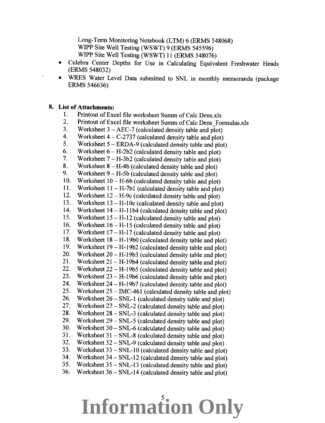Long-Term Monitoring Notebook (LTM) 6 (ERMS 548068) WIPP Site Well Testing (WSWT) 9 (ERMS 545596) WIPP Site Well Testing (WSWT) 11 (ERMS 548076)

- Culebra Center Depths for Use in Calculating Equivalent Freshwater Heads (ERMS 548032)
- WRES Water Level Data submitted to SNL in monthly memoranda (package ERMS 546636)

### **8. List of Attachments:**

- 1. Printout of Excel file worksheet Summ of Calc Dens.xls
- 2. Printout of Excel file worksheet Summ of Calc Dens Formulas.xls
- 3. Worksheet  $3 \text{AEC-7}$  (calculated density table and plot)<br>4. Worksheet  $4 \text{C-2737}$  (calculated density table and plot)
- 4. Worksheet  $4 C$ -2737 (calculated density table and plot)<br>5. Worksheet  $5 \text{ERDA-9}$  (calculated density table and plot)
- 5. Worksheet  $5 \text{ERDA-9}$  (calculated density table and plot)<br>6. Worksheet  $6 \text{H-2b2}$  (calculated density table and plot)
- 6. Worksheet  $6 H-2b2$  (calculated density table and plot)<br>7. Worksheet  $7 H-3b2$  (calculated density table and plot)
- 7. Worksheet  $7 H-3b2$  (calculated density table and plot)<br>8. Worksheet  $8 H-4b$  (calculated density table and plot)
- 8. Worksheet  $8 H-4b$  (calculated density table and plot)<br>9. Worksheet  $9 H-5b$  (calculated density table and plot)
- 9. Worksheet  $9 H-5b$  (calculated density table and plot)<br>10. Worksheet 10 H-6b (calculated density table and plot
- 10. Worksheet  $10 H$ -6b (calculated density table and plot)<br>11. Worksheet  $11 H$ -7b1 (calculated density table and plot
- 11. Worksheet 11- H-7b1 (calculated density table and plot)
- 12. Worksheet 12- H-9c (calculated density table and plot)
- 13. Worksheet  $13 H-10c$  (calculated density table and plot)<br>14. Worksheet  $14 H-11h4$  (calculated density table and plot)
- 14. Worksheet 14- H-11b4 (calculated density table and plot)
- 15. Worksheet  $15 H-12$  (calculated density table and plot)<br>16. Worksheet  $16 H-15$  (calculated density table and plot)
- 16. Worksheet  $16 H-15$  (calculated density table and plot)<br>17. Worksheet  $17 H-17$  (calculated density table and plot)
- 17. Worksheet  $17 H-17$  (calculated density table and plot)<br>18. Worksheet  $18 H-19b0$  (calculated density table and plot)
- 18. Worksheet  $18 H-19b0$  (calculated density table and plot)<br>19. Worksheet  $19 H-19b2$  (calculated density table and plot)
- 19. Worksheet  $19 H-19b2$  (calculated density table and plot)<br>20. Worksheet  $20 H-19b3$  (calculated density table and plot)
- 20. Worksheet  $20 H-19b3$  (calculated density table and plot)<br>21. Worksheet  $21 H-19b4$  (calculated density table and plot)
- 21. Worksheet  $21 H 19b4$  (calculated density table and plot)<br>22. Worksheet  $22 H 19b5$  (calculated density table and plot)
- 22. Worksheet  $22 H-19b5$  (calculated density table and plot)
- 23. Worksheet  $23 H-19b6$  (calculated density table and plot)<br>24. Worksheet  $24 H-19b7$  (calculated density table and plot)
- 24. Worksheet 24- H-19b7 (calculated density table and plot)
- 25. Worksheet  $25 \text{IMC-461}$  (calculated density table and plot)<br>26. Worksheet  $26 \text{SNI} 1$  (calculated density table and plot)
- 26. Worksheet  $26 SNL-1$  (calculated density table and plot)<br>27. Worksheet  $27 SNL-2$  (calculated density table and plot)
- 27. Worksheet  $27 SNL-2$  (calculated density table and plot)<br>28. Worksheet  $28 SNL-3$  (calculated density table and plot)
- 28. Worksheet  $28 SNL-3$  (calculated density table and plot)<br>29. Worksheet  $29 SNL-5$  (calculated density table and plot)
- 29. Worksheet  $29 SNL-5$  (calculated density table and plot)<br>30. Worksheet  $30 SNL-6$  (calculated density table and plot)
- 30. Worksheet  $30 SNL-6$  (calculated density table and plot)<br>31. Worksheet  $31 SNL-8$  (calculated density table and plot)
- 31. Worksheet  $31 SNL-8$  (calculated density table and plot)<br>32. Worksheet  $32 SNL-9$  (calculated density table and plot)
- 32. Worksheet  $32 SNL-9$  (calculated density table and plot)<br>33. Worksheet  $33 SNL-10$  (calculated density table and plot
- 33. Worksheet  $33 SNL-10$  (calculated density table and plot)<br>34. Worksheet  $34 SNL-12$  (calculated density table and plot)
- 34. Worksheet  $34 SNL-12$  (calculated density table and plot)<br>35. Worksheet  $35 SNL-13$  (calculated density table and plot)
- 35. Worksheet  $35 SNL-13$  (calculated density table and plot)<br>36. Worksheet  $36 SNL-14$  (calculated density table and plot)
- 36. Worksheet 36- SNL-14 (calculated density table and plot)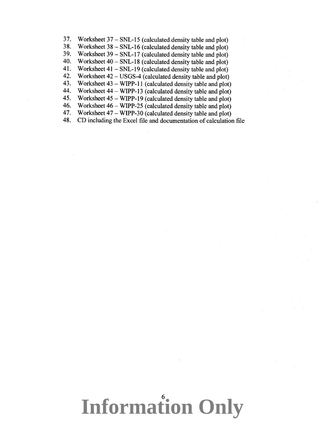37. Worksheet  $37 - SNL-15$  (calculated density table and plot)<br>38. Worksheet  $38 - SNL-16$  (calculated density table and plot)

38. Worksheet  $38 - \text{SNL-16}$  (calculated density table and plot)<br>39. Worksheet  $39 - \text{SNL-17}$  (calculated density table and plot)

39. Worksheet 39 – SNL-17 (calculated density table and plot)<br>40. Worksheet 40 – SNL-18 (calculated density table and plot)

40. Worksheet  $40 - SNL-18$  (calculated density table and plot)<br>41. Worksheet  $41 - SNL-19$  (calculated density table and plot)

41. Worksheet  $41 - SNL-19$  (calculated density table and plot)<br>42. Worksheet  $42 - USGS-4$  (calculated density table and plot)

42. Worksheet 42- USGS-4 (calculated density table and plot)

43. Worksheet  $43 - WIPP-11$  (calculated density table and plot)<br>44. Worksheet  $44 - WIPP-13$  (calculated density table and plot)

44. Worksheet  $44 - WIPP-13$  (calculated density table and plot)<br>45. Worksheet  $45 - WIPP-19$  (calculated density table and plot)

45. Worksheet  $45 - WIPP-19$  (calculated density table and plot)<br>46. Worksheet  $46 - WIPP-25$  (calculated density table and plot)

46. Worksheet  $46 - \text{WIPP-25}$  (calculated density table and plot)<br>47. Worksheet  $47 - \text{WIPP-30}$  (calculated density table and plot)

47. Worksheet  $47 - WIPP-30$  (calculated density table and plot)  $48.$  CD including the Excel file and documentation of calculation

48. CD including the Excel file and documentation of calculation file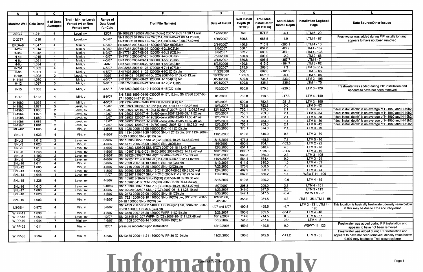| A                              | В              | C.                              | D                                                           | E.                                       | F.                                                                                                          | G.                    | H                                                 |                                                         | J                                           | K                                   |                                                                                                        |
|--------------------------------|----------------|---------------------------------|-------------------------------------------------------------|------------------------------------------|-------------------------------------------------------------------------------------------------------------|-----------------------|---------------------------------------------------|---------------------------------------------------------|---------------------------------------------|-------------------------------------|--------------------------------------------------------------------------------------------------------|
| Monitor Well Calc Dens         |                | # of Dens<br>Averaged           | Troll - Mini or Level/<br>Vented (v) or Non-<br>Vented (nv) | Range of<br><b>Data Used</b><br>for Calc | <b>Troll File Name(s)</b>                                                                                   | Date of Install       | <b>Troll Install</b><br>Depth (ft<br><b>BTOC)</b> | <b>Troll Ideal</b><br><b>Install Depth</b><br>(ft BTOC) | <b>Actual-Ideal</b><br><b>Install Depth</b> | <b>Installation Logbook</b><br>Page | <b>Data Source/Other Issues</b>                                                                        |
| AEC-7                          | 1.211          | -6                              | Level, nv                                                   | 12/07                                    | SN106823 120507 AEC-7(C-den) 2007-12-05 14.20.11.wsl                                                        | 12/5/2007             | 870                                               | 874.2                                                   | $-4.1$                                      | $LTM6 - 29$                         |                                                                                                        |
| C-2737                         | 1.010          |                                 | Level, nv                                                   | 5-6/07                                   | SN110382 041907 C-2737(C14) 2007-05-21 09.14.26.wsl,<br>SN110382 041907 C-2737(C14) 2007-06-18 08.07.42.wsl | 4/19/2007             | 690.5                                             | 686.5                                                   | 4.0                                         | LTM 4 - 67                          | Freshwater was added during PIP installation and<br>appears to have not been removed                   |
| ERDA-9                         | 1.047          | -4                              | Mini, v                                                     | $4 - 5/07$                               | SN13566 2007-03-14 150000 ERDA-9(C6).bin                                                                    | 3/14/2007             | 450.8                                             | 715.9                                                   | $-265.1$                                    | $LTM4 - 10$                         |                                                                                                        |
| $H-2b2$                        | 1.014          | $\mathbf{3}$                    | Mini, v                                                     | $8 - 9/07$                               | SN17353 2007-08-08 120000 H-2b2(C2).bin                                                                     | 8/6/2007              | 550.1                                             | 634.0                                                   | $-83.9$                                     | $LTM4 - 137$                        |                                                                                                        |
| $H-3b2$                        | 1.042          | $\overline{3}$                  | Mini, v                                                     | 8-9/07                                   | SN17764 2007-08-08 120000 H-3b2 (C2).bin                                                                    | 8/6/2007              | 602.7                                             | 686.5                                                   | $-83.8$                                     | $LTM4 - 138$                        |                                                                                                        |
| $H-4b$                         | 1.015          | $\overline{4}$                  | Mini, v                                                     | $4 - 5/07$                               | SN17310 2006-07-25 140000 H-4b(C4).bin                                                                      | 7/25/2006             | 500.8                                             | 503.0                                                   | $-2.2$                                      | $LTM2 - 68$                         |                                                                                                        |
| $H-5b$                         | 1.091          | - 4                             | Mini, v                                                     | $4 - 5/07$                               | SN11336 2007-03-14 160000 H-5b(C5).bin                                                                      | 3/13/2007             | 550.8                                             | 908.5                                                   | $-357.7$                                    | $LTM4 - 7$                          |                                                                                                        |
| $H-6b$                         | 1.034          | $\overline{2}$                  | Mini, v                                                     | 4/07                                     | SN17400 2006-08-22 120000 H-6b(C10).bin                                                                     | 8/22/2006             | 450.8                                             | 615.5                                                   | $-164.7$                                    | $LTM3 - 82$                         |                                                                                                        |
| $H-7b1$                        | 1.002          | $\overline{4}$                  | Mini, v                                                     | 4-5/07                                   | SN08268 2007-01-25 170000 H-7b1 (C7).bin                                                                    | 1/25/2007             | 275.8                                             | 268.5                                                   | 7.3                                         | $LTM3 - 114$                        |                                                                                                        |
| $H-9c$                         | 1.001          | $\overline{\mathbf{3}}$         | Mini, v                                                     | $4 - 5/07$                               | SN17403 2006-11-22 120000 H-9C (C12).bin                                                                    | 11/22/2006            | 500.1                                             | 662.0                                                   | $-161.9$                                    | $LTM3 - 66$                         |                                                                                                        |
| $H-10c$                        | 1.008          | $\overline{2}$                  | Level, nv                                                   | 10/07                                    | SN116453 101207 H-10c (C3) 2007-10-17 09.48.13.wsl                                                          | 10/12/2007            | 1365.8                                            | 1371.2                                                  | $-5.4$                                      | $LTM 5 - 86$                        |                                                                                                        |
| $H-11b4$                       | 1.070          | -4                              | Mini, v                                                     | $4 - 5/07$                               | SN11231 2006-08-21 120000 H-11b4(C5).bin                                                                    | 8/21/2006             | 500.8                                             | 734.7                                                   | $-233.9$                                    | $LTM2 - 106$                        |                                                                                                        |
| $H-12$                         | 1.097          | $\mathbf{3}$                    | Mini, v                                                     | $5 - 6/07$                               | SN18758 2007-05-21 120000 H-12(C11).bin                                                                     | 5/21/2007             | 600.8                                             | 836.4                                                   | $-235.6$                                    | $LTM4 - 75$                         |                                                                                                        |
| $H-15$                         | 1.053          |                                 | Mini, v                                                     | $4 - 5/07$                               | SN17359 2007-04-10 110000 H-15(CX1).bin                                                                     | 1/29/2007             | 650.8                                             | 870.8                                                   | $-220.0$                                    | LTM 3 - 129                         | Freshwater was added during PIP installation and<br>appears to have not been removed                   |
| $H-17$                         | 1.133          |                                 | Mini, v                                                     | 8-9/07                                   | SN17386 1999-04-06 030000 H-17(c1).bin, SN17386 2007-08-<br>27 110000 H-17 (C1).bin                         | 8/6/2007              | 700.8                                             | 718.6                                                   | $-17.8$                                     | LTM 4 - 140                         |                                                                                                        |
| $H-19b0$                       | 1.068          | Δ                               | Mini, v                                                     | $4 - 5/07$                               | SN17334 2006-09-08 120000 H-19b0 (C6).bin                                                                   | 9/8/2006              | 500.8                                             | 752.3                                                   | $-251.5$                                    | $LTM3 - 105$                        |                                                                                                        |
| $H-19b2$                       | 1.071          | 5.                              | Level, nv                                                   | 10/07                                    | SN102924 100507 H-19b2 (c1) 2007-10-17 11.02.23.wsl                                                         | 10/5/2007             | 753.8                                             | 753.8                                                   | $\overline{0.0}$                            | $LTM5 - 82$                         |                                                                                                        |
| $H-19b3$                       | 1.083          | 2                               | Level, nv                                                   | 12/07                                    | SN102927 121107 H-19b3 (C-den2) 2007-12-13 12.04.37.wsl                                                     | 12/11/2007            | 755.1                                             | 753.0                                                   | $\overline{2.1}$                            | $LTM 6 -46$                         | "Ideal install depth" is an average of H-19b0 and H-19b2                                               |
| H-19b4                         | 1.076          | 6                               | Level, nv                                                   | 12/07                                    | SN102927 120507 H-19b4(C-den) 2007-12-06 09.17.52.wsl                                                       | 12/5/2007             | 755.1                                             | 753.0                                                   | $\overline{2.1}$                            | $LTM6 - 34$                         | "Ideal install depth" is an average of H-19b0 and H-19b2                                               |
| $H-19b5$                       | 1.080          |                                 | Level, nv                                                   | 12/07                                    | SN102927 120607 H-19b5(C-den) 2007-12-06 11.30.47.wsl                                                       | 12/6/2007             | 755.1                                             | 753.0                                                   | 2.1                                         | $LTM6 - 38$                         | "Ideal install depth" is an average of H-19b0 and H-19b2                                               |
| H-19b6                         | 1.083          | $\overline{7}$                  | Level, nv                                                   | 12/07                                    | SN102927 120507 H-19b6(C-den) 2007-12-05 15.32.48.wsl                                                       | 12/5/2007             | 754.4                                             | 753.0                                                   | 1.4                                         | $LTM6 - 30$                         | "Ideal install depth" is an average of H-19b0 and H-19b2                                               |
| H-19b7                         | 1.081          | $\overline{2}$                  | Level, nv                                                   | 12/07                                    | SN102927 120607 H-19b7(C-den2) 2007-12-11 10.03.31.wsl                                                      | 12/5/2007             | 755.1                                             | 753.0                                                   | $\overline{2.1}$                            | $LTM6 - 42$                         | "Ideal install depth" is an average of H-19b0 and H-19b2                                               |
| <b>IMC-461</b>                 | 1.005          | $\overline{\mathbf{4}}$         | Mini, v                                                     | $4 - 5/07$                               | SN11028 2006-12-06 160000 IMC-461 (C12).bin                                                                 | 12/6/2006             | 376.1                                             | 374.0                                                   | $\overline{2.1}$                            | LTM 3 - 79                          |                                                                                                        |
| SNL-1                          | 1.033          |                                 | Mini, v                                                     | 4-5/07                                   | SN11134 2006-11-20 180000 SNL-1 (C12).bin, SN11134 2007-<br>05-23 150000 SNL-1(C13).bin                     | 11/20/2006            | 610.8                                             | 610.0                                                   | 0.8                                         | $LTM3 - 50$                         |                                                                                                        |
| $SNL-2$                        | 1.012          | $\overline{2}$                  | Level, nv                                                   | $8 - 9/07$                               | SN116305 082707 SNL-2 (C20) 2007-10-25 13.48.43.wsl                                                         | 8/15/2007             | 475.8                                             | 468.5                                                   | 7.3                                         | $LTM5 - 16$                         |                                                                                                        |
| $SNL-3$                        | 1.023          | -4                              | Mini, v                                                     | $4 - 5/07$                               | SN16771 2006-08-09 120000 SNL-3(C6).bin                                                                     | 8/9/2006              | 600.8                                             | 764.1                                                   | $-163.3$                                    | $LTM2 - 92$                         |                                                                                                        |
| SNL-5                          | 1.010          | 5                               | Level, nv                                                   | $4 - 6/07$                               | SN110383 120606 SNL-5(C7) 2007-06-18 13.45.17.wsl                                                           | 12/6/2006             | 651.1                                             | 646.4                                                   | 4.8                                         | $LTM3 - 78$                         |                                                                                                        |
| $SNL-6$                        | 1.246          | $\overline{4}$                  | Level, nv                                                   | $4 - 5/07$                               | SN110407 SNL-6(C2) 10-20-2006 2007-05-23 14.12.47.wsl                                                       | 10/20/2006            | 1303.7                                            | 1335.3                                                  | $-31.6$                                     | $LTM3 - 19$                         |                                                                                                        |
| $SNL-8$                        | 1.103          | $\overline{2}$                  | Level, nv                                                   | $8 - 9/07$                               | SN102926 030207 SNL-8(C13) 2007-05-24 07.59.13.wsl                                                          | 12/28/2006            | 968.3                                             | 966.0                                                   | $\overline{2.3}$                            | LTM 3 - 105                         |                                                                                                        |
| $SNL-9$                        | 1.024          |                                 | Level, nv                                                   | $4 - 6/07$                               | SN102927 121906 SNL-9 (C14) 2007-06-18 12.14.02.wsl                                                         | 11/21/2006            | 564.4                                             | 564.4                                                   | 0.0                                         | $LTM3 - 59$                         |                                                                                                        |
| <b>SNL-10</b>                  | 1.011          | -4                              | Mini, v                                                     | $5 - 6/07$                               | SN17399 2007-04-19 140000 SNL-10 (C5).bin                                                                   | 4/19/2007             | 611.5                                             | 610.0                                                   | $\overline{1.5}$                            | $LTM4 - 63$                         |                                                                                                        |
|                                | 1.005          | -4                              | Mini, v                                                     | 4-5/07                                   | SN17716 2006-07-25 120000 SNL-12(C8).bin                                                                    | 7/25/2006             | 575.8                                             | 568.5                                                   | 7.3                                         | $LTM2 - 66$                         |                                                                                                        |
| <b>SNL-12</b>                  | 1.027          | -9                              | Level, nv                                                   | $4 - 8/07$                               | SN102903 120606 SNL-13(C14) 2007-08-28 09.31.38.wsl                                                         | 12/4/2006             | 402.9                                             | 398.0                                                   | 4.9                                         | $LTM3 - 74$                         |                                                                                                        |
| <b>SNL-13</b>                  | 1.048          | $\overline{\mathbf{1}}$         | Level, nv                                                   | 11/07                                    | SN123367 110907 SNL-14(C16) 2007-11-19 12.29.57.wsl                                                         | 11/9/2007             | 667.5                                             | 666.2                                                   | $\overline{1.4}$                            | <b>WSWT 11 - 106</b>                |                                                                                                        |
| <b>SNL-14</b><br><b>SNL-15</b> | 1.228          |                                 | Level, nv                                                   | 4-5/07                                   | SN110962 3-30-07 SNL-15(C8) 2007-04-18 09.38.58.wsl,<br>SN110962 041807SNL-15(C9) 2007-06-18 09.44.34.wsl   | 3/16/2007             | 919.5                                             | 920.2                                                   | $-0.6$                                      | $LTM4 - 15$                         |                                                                                                        |
|                                | 1.010          |                                 | Level, nv                                                   | $8 - 10/07$                              | SN116299 080707 SNL-16 (C3) 2007-10-24 15.51.27.wsl                                                         | 8/7/2007              | 208.8                                             | 205.0                                                   | 3.8                                         | $LTM4 - 151$                        |                                                                                                        |
| <b>SNL-16</b>                  | 1.006          | 4                               |                                                             | $4 - 6/07$                               | SN102920 032607 SNL-17(C7) 2007-06-18 11.26.19.wsl                                                          | 1/25/2007             | 349.5                                             | 347.0                                                   | $\overline{2.5}$                            | $LTM3 - 113$                        |                                                                                                        |
| <b>SNL-17</b>                  |                | $\overline{\mathbf{4}}$         | Level, nv<br>Mini, v                                        | 4-5/07                                   | SN12473 2006-09-06 100000 SNL-18 (C5).bin                                                                   | 8/30/2006             | 547.1                                             | 547.5                                                   | $-0.4$                                      | <b>WSWT 9 - 96</b>                  |                                                                                                        |
| <b>SNL-18</b><br><b>SNL-19</b> | 1.028<br>1.003 |                                 | Mini, v                                                     | 4-5/07                                   | SN17621 2006-08-10 110000 SNL-19(C5).bin, SN17621 2007-<br>04-18 150000 SNL-19(C6).bin                      | 8/10/2006,<br>4/18/07 | 355.8                                             | 351.5                                                   | 4.3                                         | LTM 3 - 36, LTM 4 - 56              |                                                                                                        |
| USGS-4                         | 0.972          |                                 | Mini, v                                                     | $3 - 8/07$                               | SN14199 2007-03-02 140000 USGS-4(C1).bin, SN07861 2007-<br>08-28 100000 USGS-4 (C3).bin                     | 1/07 and 6/07         | 490.8                                             | 495.5                                                   | $-4.7$                                      | LTM 3 - 131, LTM 4 -<br>126         | This location is basically freshwater, density value below<br>0.997 may be due to Troll accuracy/error |
|                                |                |                                 |                                                             | $4 - 5/07$                               | SN13485 2007-03-28 120000 WIPP-11(C16).bin                                                                  | 3/28/2007             | 500.8                                             | 855.5                                                   | $-354.7$                                    | $LTM4 - 40$                         |                                                                                                        |
| WIPP-11                        | 1.038          |                                 | Mini, v                                                     | 10/07                                    | SN121345 101207 WIPP-13 (C8) 2007-10-17 11.27.48.wsl                                                        | 10/12/2007            | 714.8                                             | 714.5                                                   | $\overline{0.3}$                            | $LTM5 - 87$                         |                                                                                                        |
| WIPP-13                        | 1.053          | $\mathcal{P}$<br>$\overline{7}$ | Level, nv                                                   |                                          | SN11358 2007-03-14 160000 WIPP-19(C).bin                                                                    | 3/13/2007             | 741.3                                             | 767.4                                                   | $-26.1$                                     | $LTM4 - 8$                          |                                                                                                        |
| WIPP-19                        | 1.044          |                                 | Mini, nv                                                    | $4 - 6/07$                               |                                                                                                             |                       |                                                   |                                                         |                                             |                                     | Freshwater was added during PIP installation and                                                       |
| WIPP-25                        | 1.011          |                                 | Mini, v                                                     | 12/07                                    | pressure recorded upon installation                                                                         | 12/19/2007            | 459.5                                             | 459.5                                                   | 0.0                                         | WSWT-11, 123                        | appears to have not been removed<br>Freshwater was added during PIP installation and                   |
| WIPP-30                        | 0.994          |                                 | Mini, v                                                     | $4 - 5/07$                               | SN13475 2006-11-21 130000 WIPP-30 (C10).bin                                                                 | 11/21/2006            | 500.8                                             | 642.0                                                   | $-141.2$                                    | $LTM3 - 55$                         | appears to have not been removed; density value below  <br>0.997 may be due to Troll accuracy/error    |

# **Information Only** Summ of Calc Dens Page 1 **Summ of Calc Dens Page 1**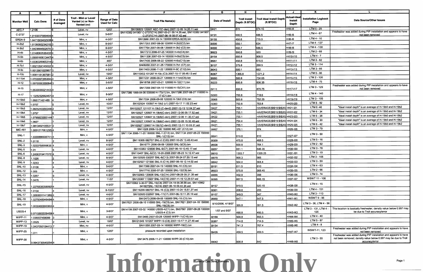| A                   | <b>B</b>           | C.                    | D                                                           | E.                                           | F.                                                                                                          | G                  | н                                       |                                        | $\mathbf{J}$                           |                                     |                                                                                                                               |
|---------------------|--------------------|-----------------------|-------------------------------------------------------------|----------------------------------------------|-------------------------------------------------------------------------------------------------------------|--------------------|-----------------------------------------|----------------------------------------|----------------------------------------|-------------------------------------|-------------------------------------------------------------------------------------------------------------------------------|
| <b>Monitor Well</b> | <b>Calc Dens</b>   | # of Dens<br>Averaged | Troll - Mini or Level/<br>Vented (v) or Non-<br>Vented (nv) | <b>Range of Data</b><br><b>Used for Calc</b> | <b>Troll File Name(s)</b>                                                                                   | Date of Install    | <b>Troll Install</b><br>Depth (ft BTOC) | Troll Ideal Install Depth<br>(ft BTOC) | Actual-Idea<br>Install<br><b>Depth</b> | <b>Installation Logbook</b><br>Page | Data Source/Other Issues                                                                                                      |
| AEC-7               | 1.2106             |                       | Level, nv                                                   | 12/07                                        | SN106823 120507 AEC-7(C-den) 2007-12-05 14.20.11.wsl                                                        | 39421              | 1870                                    | 874.15                                 | $=$ H4-I4                              | $LTM 6 - 29$                        |                                                                                                                               |
| $C-2737$            | 1.010323708946484  |                       | Level, nv                                                   | 5-6/07                                       | SN110382 041907 C-2737(C14) 2007-05-21 09.14.26.wsl, SN110382 041907<br>C-2737(C14) 2007-06-18 08.07.42.wsl | 39191              | 690.5                                   | 686.5                                  | =H5-15                                 | $LTM4 - 67$                         | Freshwater was added during PIP installation and appears to have<br>not been removed                                          |
| ERDA-9              | 1.0471503402508(4  |                       | Mini, v                                                     | 4-5/07                                       | SN13566 2007-03-14 150000 ERDA-9(C6).bin                                                                    | 39155              | 450.8                                   | 715.9                                  | $=$ H6-I6                              | LTM 4 - 10                          |                                                                                                                               |
| $H-2b2$             | 1.013939323421823  |                       | Mini, v                                                     | 8-9/07                                       | SN17353 2007-08-08 120000 H-2b2(C2).bin                                                                     | 39300              | 550.1                                   | 634                                    | $=$ H7-I7                              | LTM 4 - 137                         |                                                                                                                               |
| $H-3b2$             | 1.0423684502679 3  |                       | Mini, v                                                     | 8-9/07                                       | SN17764 2007-08-08 120000 H-3b2 (C2).bin                                                                    | 39300              | 602.7                                   | 686.5                                  | $=$ H8-I8                              | LTM 4 - 138                         |                                                                                                                               |
| $H-4b$              | 1.014806253640054  |                       | Mini, v                                                     | 4-5/07                                       | SN17310 2006-07-25 140000 H-4b(C4).bin                                                                      | 38923              | 500.8                                   | 503                                    | =H9-I9                                 | $LTM2 - 68$                         |                                                                                                                               |
| H-5b                |                    |                       | Mini, v                                                     | 4-5/07                                       | SN11336 2007-03-14 160000 H-5b(C5).bin                                                                      | 39154              | 550.8                                   | 908.5                                  | =H10-I10                               | $LTM4 - 7$                          |                                                                                                                               |
| H-6b                | 1.090816061344764  |                       | Mini, v                                                     | 4/07                                         | SN17400 2006-08-22 120000 H-6b(C10).bin                                                                     | 38951              | 450.8                                   | 615.5                                  | =H11-I11                               | $LTM3 - 82$                         |                                                                                                                               |
|                     | 1.033632696531442  |                       | Mini, v                                                     | 4-5/07                                       | SN08268 2007-01-25 170000 H-7b1 (C7).bin                                                                    | 39107              | 275.8                                   | 268.5                                  | =H12-I12                               | LTM 3 - 114                         |                                                                                                                               |
| H-7b1               | 1.002135414503314  |                       |                                                             | 4-5/07                                       | SN17403 2006-11-22 120000 H-9C (C12).bin                                                                    | 39043              | 500.1                                   | 662                                    | =H13-I13                               | LTM 3 - 66                          |                                                                                                                               |
| $H-9c$              | 1.001390182096713  |                       | Mini, v                                                     |                                              |                                                                                                             |                    |                                         |                                        | =H14-I14                               | LTM 5 - 86                          |                                                                                                                               |
| $H-10c$             | 1.008118136758112  |                       | Level, nv                                                   | 10/07                                        | SN116453 101207 H-10c (C3) 2007-10-17 09.48.13.wsl                                                          | 39367              | 1365.8                                  | 1371.2                                 |                                        | LTM 2 - 106                         |                                                                                                                               |
| H-11b4              | 1.070309726530414  |                       | Mini, v                                                     | 4-5/07                                       | SN11231 2006-08-21 120000 H-11b4(C5).bin                                                                    | 38950              | 500.8                                   | 734.65                                 | =H15-I15                               | LTM 4 - 75                          |                                                                                                                               |
| $H-12$              | 1.097005635506493  |                       | Mini, v                                                     | 5-6/07                                       | SN18758 2007-05-21 120000 H-12(C11).bin                                                                     | 39223              | 600.8                                   | 836.35                                 | =H16-I16                               |                                     | Freshwater was added during PIP installation and appears to have                                                              |
| H-15                | 1.053303552144314  |                       | Mini, v                                                     | 4-5/07                                       | SN17359 2007-04-10 110000 H-15(CX1).bin                                                                     | 39111              | 650.8                                   | 870.75                                 | =H17-I17                               | LTM 3 - 129                         | not been removed                                                                                                              |
| $H-17$              | 1.132523266245714  |                       | Mini, v                                                     | 8-9/07                                       | SN17386 1999-04-06 030000 H-17(c1).bin, SN17386 2007-08-27 110000 H-<br>17 (C1).bin                         | 39300              | 700.8                                   | 718.6                                  | $=$ H18-I18                            | $LTM4 - 140$                        |                                                                                                                               |
| H-19b0              | 1.068171401485     |                       | Mini, v                                                     | 4-5/07                                       | SN17334 2006-09-08 120000 H-19b0 (C6).bin                                                                   | 38968              | 500.8                                   | 752.25                                 | =H19-I19                               | LTM 3 - 105                         |                                                                                                                               |
| H-19b2              | 1.0707             |                       | Level, nv                                                   | 10/07                                        | SN102924 100507 H-19b2 (c1) 2007-10-17 11.02.23.wsl                                                         | 39360              | 753.8                                   | 753.8                                  | =H20-I20                               | LTM 5 - 82                          |                                                                                                                               |
| H-19b3              | 1.082524035034842  |                       | Level, nv                                                   | 12/07                                        | SN102927 121107 H-19b3 (C-den2) 2007-12-13 12.04.37.wsl                                                     | 39427              | 755.1                                   | =AVERAGE(\$I\$19:\$I\$20) =H21-I21     |                                        | LTM 6 -46                           | "Ideal install depth" is an average of H-19b0 and H-19b2                                                                      |
| H-19b4              | 1.0757             |                       | Level, nv                                                   | 12/07                                        | SN102927 120507 H-19b4(C-den) 2007-12-06 09.17.52.wsl                                                       | 39421              | 755.1                                   | =AVERAGE(\$1\$19:\$1\$20) = H22-122    |                                        | LTM 6 - 34                          | "Ideal install depth" is an average of H-19b0 and H-19b2                                                                      |
| H-19b5              | 1.079582335514407  |                       | Level, nv                                                   | 12/07                                        | SN102927 120607 H-19b5(C-den) 2007-12-06 11.30.47.wsl                                                       | 39422              | 755.1                                   | =AVERAGE(\$I\$19:\$I\$20) = H23-I23    |                                        | LTM 6 - 38                          | "Ideal install depth" is an average of H-19b0 and H-19b2                                                                      |
| H-19b6              | 1.0827             |                       | Level, nv                                                   | 12/07                                        | SN102927 120507 H-19b6(C-den) 2007-12-05 15.32.48.wsl                                                       | 39421              | 754.4                                   | EAVERAGE(\$I\$19:\$I\$20) = H24-I24    |                                        | $LTM 6 - 30$                        | "Ideal install depth" is an average of H-19b0 and H-19b2                                                                      |
| H-19b7              | 1.081349210553112  |                       | Level, nv                                                   | 12/07                                        | SN102927 120607 H-19b7(C-den2) 2007-12-11 10.03.31 wsl                                                      | 39421              | 755.1                                   | =AVERAGE(\$I\$19:\$I\$20) =H25-I25     |                                        | $LTM 6 - 42$                        | "Ideal install depth" is an average of H-19b0 and H-19b2                                                                      |
| <b>IMC-461</b>      | 1.005121706129514  |                       | Mini, v                                                     | 4-5/07                                       | SN11028 2006-12-06 160000 IMC-461 (C12).bin                                                                 | 39057              | 376.1                                   | 374                                    | $=$ H26-126                            | LTM 3 - 79                          |                                                                                                                               |
| SNL-1               | 1.033088693574144  |                       | Mini, v                                                     | 4-5/07                                       | SN11134 2006-11-20 180000 SNL-1 (C12).bin, SN11134 2007-05-23 150000<br>SNL-1(C13).bin                      | 39041              | 610.8                                   | 610                                    | =H27-I27                               | LTM 3 - 50                          |                                                                                                                               |
| SNL-2               | 1.0118             |                       | Level, nv                                                   | 8-9/07                                       | SN116305 082707 SNL-2 (C20) 2007-10-25 13.48.43.wsl                                                         | 39309              | 475.8                                   | 468.5                                  | $=$ H28-I28                            | LTM 5 - 16                          |                                                                                                                               |
| SNL-3               | 1.0233758999635    |                       | Mini, v                                                     | 4-5/07                                       | SN16771 2006-08-09 120000 SNL-3(C6).bin                                                                     | 38938              | 600.8                                   | 764.1                                  | =H29-I29                               | LTM 2 - 92                          |                                                                                                                               |
| SNL-5               | 1.01               |                       | Level, nv                                                   | 4-6/07                                       | SN110383 120606 SNL-5(C7) 2007-06-18 13.45.17.wsl                                                           | 39057              | 651.1                                   | 646.35                                 | =H30-I30                               | LTM 3 - 78                          |                                                                                                                               |
| SNL-6               |                    |                       | Level, nv                                                   | 4-5/07                                       | SN110407 SNL-6(C2) 10-20-2006 2007-05-23 14.12.47 wsl                                                       | 39010              | 1303.7                                  | 1335.25                                | $=$ H31-I31                            | $LTM3 - 19$                         |                                                                                                                               |
| SNL-8               | 1.245631941707614  |                       | Level, nv                                                   | 8-9/07                                       | SN102926 030207 SNL-8(C13) 2007-05-24 07.59.13 wsl                                                          | 39079              | 968.3                                   | 966                                    | =H32-I32                               | LTM 3 - 105                         |                                                                                                                               |
|                     | .1026              |                       | Level, nv                                                   | 4-6/07                                       | SN102927 121906 SNL-9 (C14) 2007-06-18 12.14.02.wsl                                                         | 39042              | 564.4                                   | 564.4                                  | $=$ H33-I33                            | LTM 3 - 59                          |                                                                                                                               |
| SNL-9               | 1.0243             |                       | Mini, v                                                     | 5-6/07                                       | SN17399 2007-04-19 140000 SNL-10 (C5).bin                                                                   | 39191              | 611.5                                   | 610                                    | =H34-I34                               | $LTM4 - 63$                         |                                                                                                                               |
| <b>SNL-10</b>       | 1.0106             |                       | Mini. v                                                     | 4-5/07                                       | SN17716 2006-07-25 120000 SNL-12(C8).bin                                                                    | 38923              | 575.8                                   | 568.45                                 | $=$ H35-I35                            | LTM 2 - 66                          |                                                                                                                               |
| <b>SNL-12</b>       | 1.005              |                       |                                                             |                                              | SN102903 120606 SNL-13(C14) 2007-08-28 09.31.38.wsl                                                         |                    | 402.9                                   | 398                                    | =H36-I36                               | LTM 3 - 74                          |                                                                                                                               |
| <b>SNL-13</b>       | 1.0267             |                       | Level, nv                                                   | 4-8/07                                       | SN123367 110907 SNL-14(C16) 2007-11-19 12.29.57.wsl                                                         | 39055              | 667.5                                   | 666.15                                 | =H37-I37                               | <b>WSWT 11 - 106</b>                |                                                                                                                               |
| <b>SNL-14</b>       | 1.0476             |                       | Level, nv                                                   | 11/07                                        | SN110962 3-30-07 SNL-15(C8) 2007-04-18 09.38.58 wsl, SN110962                                               | 39395              |                                         |                                        |                                        | LTM 4 - 15                          |                                                                                                                               |
| <b>SNL-15</b>       | 227683835809294    |                       | Level, nv                                                   | $4 - 5/07$                                   | 041807SNL-15(C9) 2007-06-18 09:44.34.wsl                                                                    | 39157              | 919.5                                   | 920.15                                 | $=$ H38-I38                            |                                     |                                                                                                                               |
| <b>SNL-16</b>       | 1.0104             |                       | Level, nv                                                   | 8-10/07                                      | SN116299 080707 SNL-16 (C3) 2007-10-24 15.51.27.wsl                                                         | 39301              | 208.8                                   | 205                                    | $=$ H39-I39                            | LTM 4 - 151                         |                                                                                                                               |
| <b>SNL-17</b>       | .006069114138914   |                       | Level, nv                                                   | 4-6/07                                       | SN102920 032607 SNL-17(C7) 2007-06-18 11.26.19.wsl                                                          | 39107              | 349.5                                   | 347                                    | $=$ H40-I40                            | LTM 3 - 113                         |                                                                                                                               |
| <b>SNL-18</b>       | 1.02750489464844   |                       | Mini, v                                                     | 4-5/07                                       | SN12473 2006-09-06 100000 SNL-18 (C5).bin                                                                   | 38959              | 547.1                                   | 547.5                                  | =H41-I41                               | WSWT 9 - 96                         |                                                                                                                               |
| <b>SNL-19</b>       | 1.003048066036244  |                       | Mini, v                                                     | 4-5/07                                       | SN17621 2006-08-10 110000 SNL-19(C5).bin, SN17621 2007-04-18 150000<br>SNL-19(C6).bin                       | 8/10/2006, 4/18/07 | 355.8                                   | 351.5                                  | $=$ H42-I42                            | LTM 3 - 36, LTM 4 - 56              |                                                                                                                               |
| USGS-4              |                    |                       | Mini, v                                                     | $3 - 8/07$                                   | SN14199 2007-03-02 140000 USGS-4(C1).bin, SN07861 2007-08-28 100000                                         | 1/07 and 6/07      |                                         |                                        |                                        |                                     | LTM 3 - 131, LTM 4 -   This location is basically freshwater, density value below 0.997 may<br>be due to Troll accuracy/error |
|                     | 0.971586552846984  |                       |                                                             |                                              | USGS-4 (C3).bin                                                                                             |                    | 490.8                                   | 495.5                                  | =H43-I43                               | 126<br><b>LTM 4 - 40</b>            |                                                                                                                               |
| WIPP-11             | 1.038007458099     |                       | Mini, v                                                     | 4-5/07                                       | SN13485 2007-03-28 120000 WIPP-11(C16).bin                                                                  | 39169              | 500.8                                   | 855.5                                  | -H44-144                               | LTM 5 - 87                          |                                                                                                                               |
| WIPP-13             | 1.0525             |                       | Level, nv                                                   | 10/07                                        | SN121345 101207 WIPP-13 (C8) 2007-10-17 11.27.48.wsl                                                        | 39367              | 714.8                                   | 714.5                                  | =H45-I45                               | $LTM4 - 8$                          |                                                                                                                               |
| WIPP-19             | 1.0437050104413 7  |                       | Mini, nv                                                    | 4-6/07                                       | SN11358 2007-03-14 160000 WIPP-19(C).bin                                                                    | 39154              | 741.3                                   | 767.4                                  | =H46-I46                               |                                     | Freshwater was added during PIP installation and appears to have                                                              |
| WIPP-25             | 1.011              |                       | Mini, v                                                     | 12/07                                        | pressure recorded upon installation                                                                         | 39435              | 459.5                                   | 459.5                                  | $=$ H47-I47                            | WSWT-11, 123                        | not been removed<br>Freshwater was added during PIP installation and appears to have                                          |
| WIPP-30             |                    |                       | Mini, v                                                     | $4 - 5/07$                                   | SN13475 2006-11-21 130000 WIPP-30 (C10).bin                                                                 |                    | 500.8                                   | 642                                    | =H48-I48                               | LTM 3 - 55                          | not been removed; density value below 0.997 may be due to Troll<br>accuracy/error                                             |
|                     | 10.994373054025404 |                       |                                                             |                                              |                                                                                                             | 39042              |                                         |                                        |                                        |                                     |                                                                                                                               |

# Information Only Summ of Calc Dens Formulas Page 1

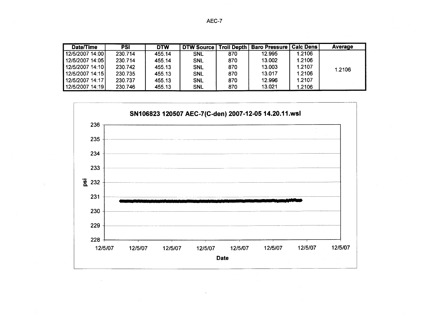| <b>Date/Time</b> | PSI     | <b>DTW</b> | <b>DTW Source</b> |     | Troll Depth   Baro Pressure   Calc Dens |        | Average |
|------------------|---------|------------|-------------------|-----|-----------------------------------------|--------|---------|
| 12/5/2007 14:00  | 230.714 | 455.14     | <b>SNL</b>        | 870 | 12.995                                  | 1.2106 |         |
| 12/5/2007 14:05  | 230.714 | 455.14     | <b>SNL</b>        | 870 | 13.002                                  | 1.2106 |         |
| 12/5/2007 14:10  | 230.742 | 455.13     | <b>SNL</b>        | 870 | 13.003                                  | 1.2107 | 1.2106  |
| 12/5/2007 14:15  | 230.735 | 455.13     | <b>SNL</b>        | 870 | 13.017                                  | 1.2106 |         |
| 12/5/2007 14:17  | 230.737 | 455.13     | <b>SNL</b>        | 870 | 12.996                                  | 1.2107 |         |
| 12/5/2007 14:19  | 230.746 | 455.13     | <b>SNL</b>        | 870 | 13.021                                  | 1.2106 |         |

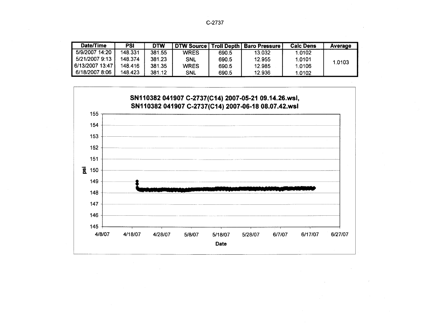C-2737

| Date/Time       | PSI     | <b>DTW</b> | . DTW Source I |       | Troll Depth   Baro Pressure | <b>Calc Dens</b> | Average |
|-----------------|---------|------------|----------------|-------|-----------------------------|------------------|---------|
| 5/9/2007 14:20  | 148.331 | 381.55     | <b>WRES</b>    | 690.5 | 13.032                      | 1.0102           |         |
| 5/21/2007 9:13  | 148.374 | 381.23     | SNL            | 690.5 | 12.955                      | 1.0101           | 1.0103  |
| 6/13/2007 13:47 | 148.416 | 381.35     | <b>WRES</b>    | 690.5 | 12.985                      | 1.0106           |         |
| 6/18/2007 8:06  | 148.423 | 381.12     | <b>SNL</b>     | 690.5 | 12.936                      | 1.0102           |         |

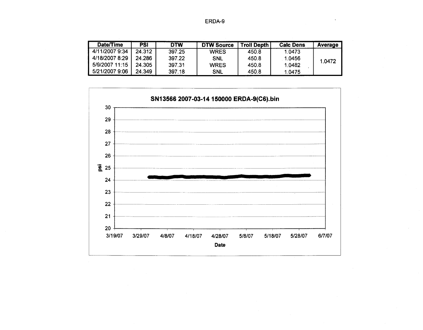| ERDA-9 |  |
|--------|--|
|--------|--|

| Date/Time      | PSI    | DTW    | <b>DTW Source</b> | <b>Troll Depth</b> | <b>Calc Dens</b> | Average |
|----------------|--------|--------|-------------------|--------------------|------------------|---------|
| 4/11/2007 9:34 | 24.312 | 397.25 | <b>WRES</b>       | 450.8              | 1.0473           |         |
| 4/18/2007 8:29 | 24.286 | 397.22 | <b>SNL</b>        | 450.8              | 1.0456           | 1.0472  |
| 5/9/2007 11:15 | 24.305 | 397.31 | <b>WRES</b>       | 450.8              | 1.0482           |         |
| 5/21/2007 9:06 | 24.349 | 397.18 | <b>SNL</b>        | 450.8              | 1.0475           |         |

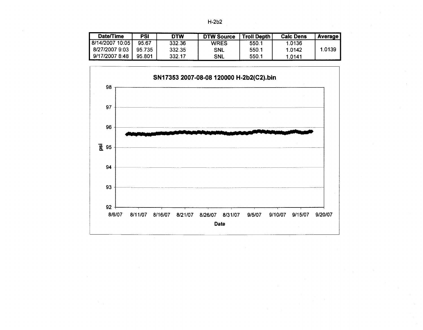| Date/Time                      | PSI    | <b>DTW</b> | <b>DTW Source</b> | <b>Troll Depth</b> | <b>Calc Dens</b> | <b>Average</b> |
|--------------------------------|--------|------------|-------------------|--------------------|------------------|----------------|
| 8/14/2007 10:05 $\overline{ }$ | 95.67  | 332.36     | <b>WRES</b>       | 550.1              | 1.0136           |                |
| 8/27/2007 9:03                 | 95.735 | 332.35     | <b>SNL</b>        | 550.1              | 1.0142           | 1.0139         |
| 9/17/2007 8:48                 | 95.801 | 332.17     | <b>SNL</b>        | 550.1              | 1.0141           |                |

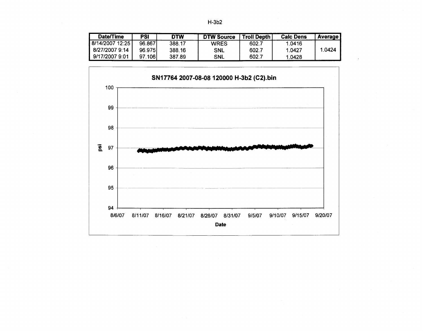| Date/Time       | <b>PSI</b> | <b>DTW</b> | <b>DTW Source</b> | <b>Troll Depth</b> | <b>Calc Dens</b> | <b>Average</b> |
|-----------------|------------|------------|-------------------|--------------------|------------------|----------------|
| 8/14/2007 12:25 | 96.867     | 388.17     | <b>WRES</b>       | 602.7              | 1.0416           |                |
| 8/27/2007 9:14  | 96.975     | 388.16     | <b>SNL</b>        | 602.7              | 1.0427           | 1.0424         |
| 9/17/2007 9:01  | 97.106     | 387.89     | <b>SNL</b>        | 602.7              | 1.0428           |                |

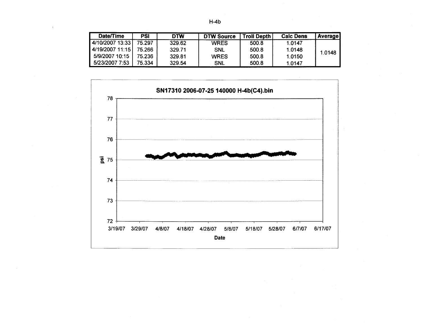|  |  | I |
|--|--|---|
|--|--|---|

| Date/Time       | PSI    | <b>DTW</b> | <b>DTW Source</b> | <b>Troll Depth</b> | <b>Calc Dens</b> | <b>Average</b> |
|-----------------|--------|------------|-------------------|--------------------|------------------|----------------|
| 4/10/2007 13:33 | 75.297 | 329.62     | <b>WRES</b>       | 500.8              | 1.0147           |                |
| 4/19/2007 11:15 | 75.266 | 329.71     | <b>SNL</b>        | 500.8              | 1.0148           | 1.0148         |
| 5/9/2007 10:15  | 75.236 | 329.81     | <b>WRES</b>       | 500.8              | 1.0150           |                |
| 5/23/2007 7:53  | 75.334 | 329.54     | <b>SNL</b>        | 500.8              | 1.0147           |                |

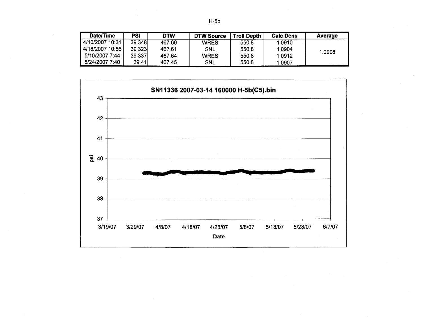|  | ۰.<br>×<br>۰,<br>I |
|--|--------------------|
|--|--------------------|

| Date/Time       | PSI    | DTW    | <b>DTW Source</b> | <b>Troll Depth</b> | <b>Calc Dens</b> | Average |
|-----------------|--------|--------|-------------------|--------------------|------------------|---------|
| 4/10/2007 10:31 | 39.348 | 467.60 | <b>WRES</b>       | 550.8              | 1.0910           |         |
| 4/18/2007 10:56 | 39.323 | 467.61 | <b>SNL</b>        | 550.8              | 1.0904           | 1.0908  |
| 5/10/2007 7:44  | 39.337 | 467.64 | <b>WRES</b>       | 550.8              | 1.0912           |         |
| 5/24/2007 7:40  | 39.41  | 467.45 | <b>SNL</b>        | 550.8              | 1.0907           |         |

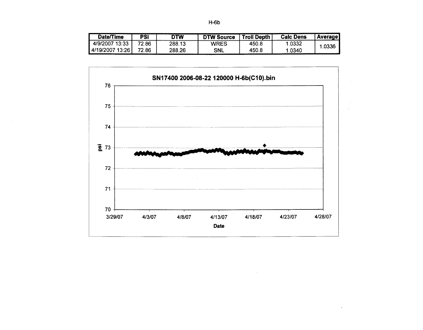| Date/Time       | PSI   | DTW    | <b>DTW Source</b> | <b>Troll Depth</b> | <b>Calc Dens</b> | <b>Average</b> |
|-----------------|-------|--------|-------------------|--------------------|------------------|----------------|
| 4/9/2007 13:33  | 72.86 | 288.13 | WRES              | 450.8              | .0332            | .0336          |
| 4/19/2007 13:26 | 72.86 | 288.26 | <b>SNL</b>        | 450.8              | 1.0340           |                |

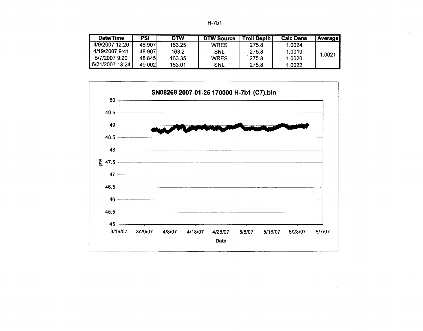| Date/Time       | <b>PSI</b> | DTW    | <b>DTW Source</b> | <b>Troll Depth</b> | <b>Calc Dens</b> | <b>Average</b> |
|-----------------|------------|--------|-------------------|--------------------|------------------|----------------|
| 4/9/2007 12:20  | 48.907     | 163.25 | <b>WRES</b>       | 275.8              | 1.0024           |                |
| 4/19/2007 9:41  | 48.907     | 163.2  | SNL               | 275.8              | 1.0019           | 1.0021         |
| 5/7/2007 9:20   | 48.845     | 163.35 | <b>WRES</b>       | 275.8              | 1.0020           |                |
| 5/21/2007 13:24 | 49.0021    | 163.01 | <b>SNL</b>        | 275.8              | 1.0022           |                |

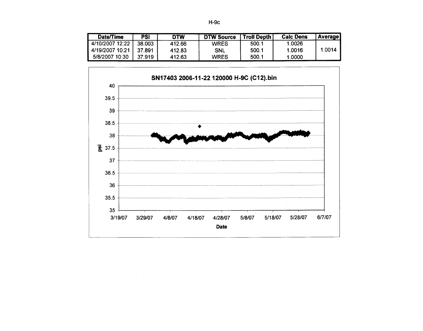| Date/Time       | <b>PSI</b> | <b>DTW</b> | <b>DTW Source</b> | <b>Troll Depth</b> | <b>Calc Dens</b> | <b>Average</b> |
|-----------------|------------|------------|-------------------|--------------------|------------------|----------------|
| 4/10/2007 12:22 | 38.003     | 412.66     | <b>WRES</b>       | 500.1              | 1.0026           |                |
| 4/19/2007 10:21 | 37.891     | 412.83     | <b>SNL</b>        | 500.1              | 1.0016           | 1.0014         |
| 5/8/2007 10:30  | 37.919     | 412.63     | <b>WRES</b>       | 500.1              | 1.0000           |                |

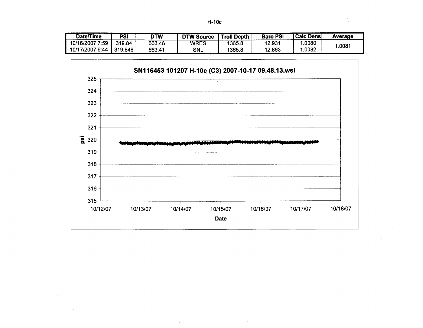| Date/Time       | <b>PSI</b> | <b>DTW</b> | <b>DTW Source</b> | <b>Troll Depth</b> | <b>Baro PSI</b> | <b>Calc Dens</b> | Average         |
|-----------------|------------|------------|-------------------|--------------------|-----------------|------------------|-----------------|
| 10/16/2007 7:59 | 319.84     | 663.46     | WRES              | 1365.8             | 12.931          | .0080            | $.008^{\prime}$ |
| 10/17/2007 9:44 | 319.848    | 663.41     | <b>SNL</b>        | 1365.8             | 12.863          | .0082            |                 |

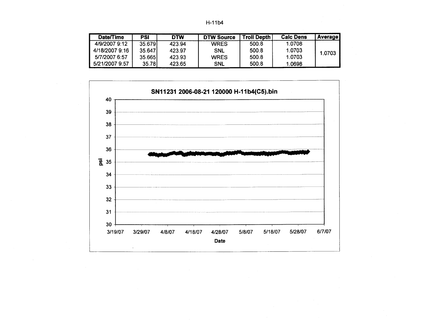| Date/Time      | <b>PSI</b> | <b>DTW</b> | <b>DTW Source</b> | <b>Troll Depth</b> | <b>Calc Dens</b> | <b>Average</b> |
|----------------|------------|------------|-------------------|--------------------|------------------|----------------|
| 4/9/2007 9:12  | 35.679     | 423.94     | <b>WRES</b>       | 500.8              | 1.0708           |                |
| 4/18/2007 9:16 | 35.647     | 423.97     | <b>SNL</b>        | 500.8              | 1.0703           | 1.0703         |
| 5/7/2007 6:57  | 35.6651    | 423.93     | <b>WRES</b>       | 500.8              | 1.0703           |                |
| 5/21/2007 9:57 | 35.78I     | 423.65     | <b>SNL</b>        | 500.8              | 1.0698           |                |

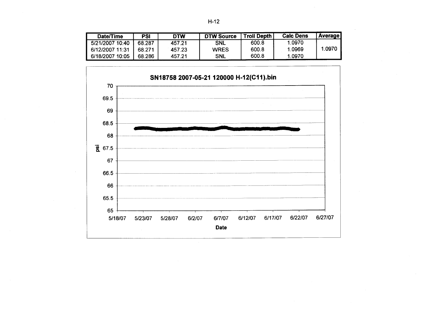| Date/Time       | PSI    | DTW    | <b>DTW Source</b> | <b>Troll Depth</b> | <b>Calc Dens</b> | <b>Average</b> |
|-----------------|--------|--------|-------------------|--------------------|------------------|----------------|
| 5/21/2007 10:40 | 68.287 | 457.21 | <b>SNL</b>        | 600.8              | 1.0970           |                |
| 6/12/2007 11:31 | 68.271 | 457.23 | <b>WRES</b>       | 600.8              | 1.0969           | .0970          |
| 6/18/2007 10:05 | 68.286 | 457.21 | <b>SNL</b>        | 600.8              | .0970            |                |

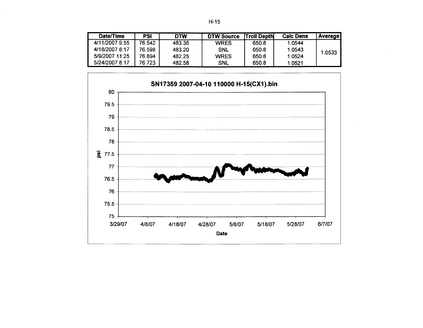| Date/Time      | PSI    | <b>DTW</b> | <b>DTW Source</b> | Troll Depth | <b>Calc Dens</b> | <b>Average</b> |
|----------------|--------|------------|-------------------|-------------|------------------|----------------|
| 4/11/2007 9:55 | 76.542 | 483.35     | <b>WRES</b>       | 650.8       | 1.0544           |                |
| 4/18/2007 8:17 | 76.598 | 483.20     | <b>SNL</b>        | 650.8       | 1.0543           | 1.0533         |
| 5/9/2007 11:25 | 76.894 | 482.25     | <b>WRES</b>       | 650.8       | 1.0524           |                |
| 5/24/2007 8:17 | 76.723 | 482.58     | <b>SNL</b>        | 650.8       | 1.0521           |                |

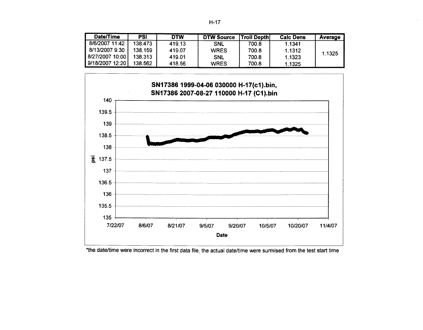| Date/Time       | PSI     | <b>DTW</b> | <b>DTW Source</b> | ∣Troll Depth∣ | <b>Calc Dens</b> | Average |
|-----------------|---------|------------|-------------------|---------------|------------------|---------|
| 8/6/2007 11:42  | 138.473 | 419.13     | <b>SNL</b>        | 700.8         | 1.1341           |         |
| 8/13/2007 9:30  | 138.159 | 419.07     | <b>WRES</b>       | 700.8         | 1.1312           | 1.1325  |
| 8/27/2007 10:00 | 138.313 | 419.01     | <b>SNL</b>        | 700.8         | 1.1323           |         |
| 9/18/2007 12:20 | 138.562 | 418.56     | <b>WRES</b>       | 700.8         | 1.1325           |         |



\*the date/time were incorrect in the first data file, the actual date/time were surmised from the test start time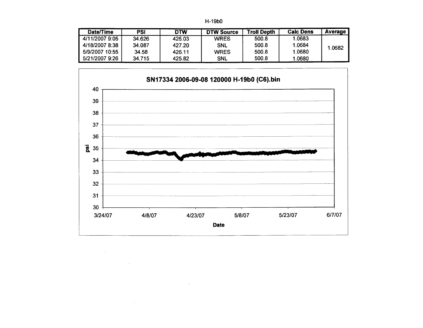|  | H-19b0 |
|--|--------|
|--|--------|

| Date/Time      | PSI    | <b>DTW</b> | <b>DTW Source</b> | <b>Troll Depth</b> | <b>Calc Dens</b> | Average |
|----------------|--------|------------|-------------------|--------------------|------------------|---------|
| 4/11/2007 9:05 | 34.626 | 426.03     | <b>WRES</b>       | 500.8              | 1.0683           |         |
| 4/18/2007 8:38 | 34.087 | 427.20     | <b>SNL</b>        | 500.8              | 1.0684           | .0682   |
| 5/9/2007 10:55 | 34.58  | 426.11     | <b>WRES</b>       | 500.8              | 1.0680           |         |
| 5/21/2007 9:26 | 34.715 | 425.82     | <b>SNL</b>        | 500.8              | 1.0680           |         |

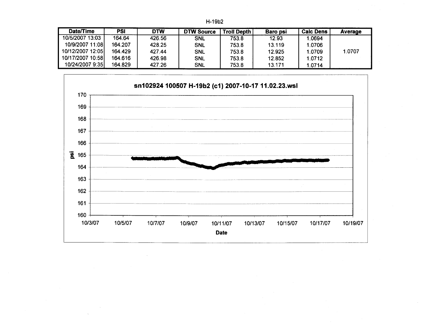H-19b2

| Date/Time        | PSI     | DTW    | <b>DTW Source</b> | <b>Troll Depth</b> | <b>Baro psi</b> | <b>Calc Dens</b> | Average |
|------------------|---------|--------|-------------------|--------------------|-----------------|------------------|---------|
| 10/5/2007 13:03  | 164.64  | 426.56 | <b>SNL</b>        | 753.8              | 12.93           | .0694            |         |
| 10/9/2007 11:08  | 164.207 | 428.25 | <b>SNL</b>        | 753.8              | 13.119          | 1.0706           |         |
| 10/12/2007 12:05 | 164.429 | 427.44 | <b>SNL</b>        | 753.8              | 12.925          | 1.0709           | 1.0707  |
| 10/17/2007 10:58 | 164.616 | 426.98 | <b>SNL</b>        | 753.8              | 12.852          | 1.0712           |         |
| 10/24/2007 9:35  | 164.829 | 427.26 | <b>SNL</b>        | 753.8              | 13.171          | 1.0714           |         |

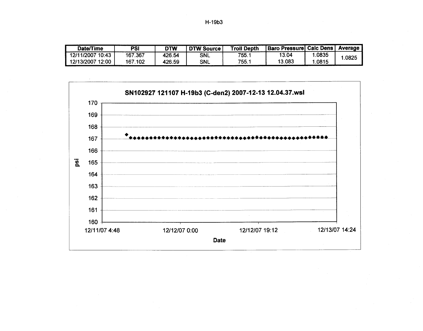| <b>Date/Time</b> | PSI                    | DTW    | <b>DTW Source</b> | <b>Troll Depth</b> | <b>Baro Pressure Calc Dens</b> |       | Average |
|------------------|------------------------|--------|-------------------|--------------------|--------------------------------|-------|---------|
| 12/11/2007 10:43 | $^{\circ}$ .367<br>167 | 426.54 | <b>SNL</b>        | 755.1              | 13.04                          | .0835 | .0825   |
| 12/13/2007 12:00 | 167.102                | 426.59 | <b>SNL</b>        | 755.               | 13.083                         | .0815 |         |

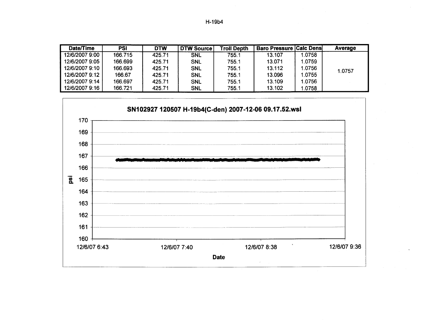| H-19b4 |  |
|--------|--|
|--------|--|

| Date/Time      | PSI     | <b>DTW</b> | DTW Source! | <b>Troll Depth</b> | <b>Baro Pressure Calc Dens</b> |        | Average |
|----------------|---------|------------|-------------|--------------------|--------------------------------|--------|---------|
| 12/6/2007 9:00 | 166.715 | 425.71     | <b>SNL</b>  | 755.1              | 13.107                         | 1.0758 |         |
| 12/6/2007 9:05 | 166.699 | 425.71     | <b>SNL</b>  | 755.1              | 13.071                         | 1.0759 |         |
| 12/6/2007 9:10 | 166.693 | 425.71     | <b>SNL</b>  | 755.1              | 13.112                         | 1.0756 | 1.0757  |
| 12/6/2007 9:12 | 166.67  | 425.71     | <b>SNL</b>  | 755.1              | 13.096                         | 1.0755 |         |
| 12/6/2007 9:14 | 166.697 | 425.71     | <b>SNL</b>  | 755.1              | 13.109                         | 1.0756 |         |
| 12/6/2007 9:16 | 166.721 | 425.71     | <b>SNL</b>  | 755.1              | 13.102                         | 1.0758 |         |

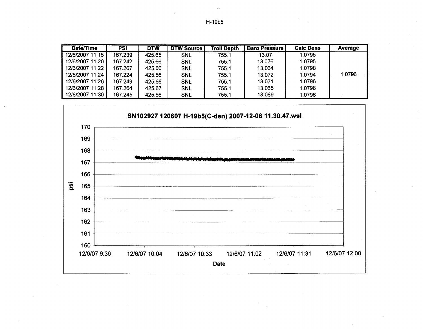H-19b5

 $\mathcal{A}$ 

| Date/Time       | <b>PSI</b> | <b>DTW</b> | <b>DTW Source'</b> | <b>Troll Depth</b> | <b>Baro Pressure</b> | <b>Calc Dens</b> | Average |
|-----------------|------------|------------|--------------------|--------------------|----------------------|------------------|---------|
| 12/6/2007 11:15 | 167.239    | 425.65     | <b>SNL</b>         | 755.1              | 13.07                | 1.0795           |         |
| 12/6/2007 11:20 | 167.242    | 425.66     | <b>SNL</b>         | 755.1              | 13.076               | 1.0795           |         |
| 12/6/2007 11:22 | 167.267    | 425.66     | <b>SNL</b>         | 755.1              | 13.064               | 1.0798           |         |
| 12/6/2007 11:24 | 167.224    | 425.66     | <b>SNL</b>         | 755.1              | 13.072               | 1.0794           | 1.0796  |
| 12/6/2007 11:26 | 167.249    | 425.66     | <b>SNL</b>         | 755.1              | 13.071               | 1.0796           |         |
| 12/6/2007 11:28 | 167.264    | 425.67     | SNL                | 755.1              | 13.065               | 1.0798           |         |
| 12/6/2007 11:30 | 167.245    | 425.66     | <b>SNL</b>         | 755.1              | 13.069               | 1.0796           |         |

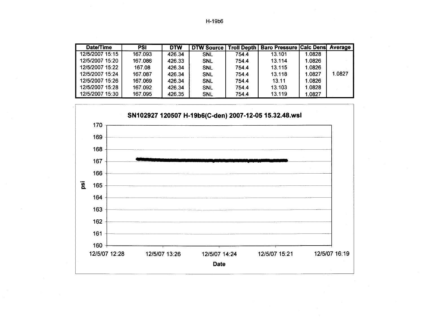H-19b6

| Date/Time       | <b>PSI</b> | <b>DTW</b> | <b>DTW Source</b> |       | <b>Troll Depth   Baro Pressure Calc Dens Average</b> |        |        |
|-----------------|------------|------------|-------------------|-------|------------------------------------------------------|--------|--------|
| 12/5/2007 15:15 | 167.093    | 426.34     | <b>SNL</b>        | 754.4 | 13.101                                               | 1.0828 |        |
| 12/5/2007 15:20 | 167.086    | 426.33     | <b>SNL</b>        | 754.4 | 13.114                                               | 1.0826 |        |
| 12/5/2007 15:22 | 167.08     | 426.34     | <b>SNL</b>        | 754.4 | 13.115                                               | 1.0826 |        |
| 12/5/2007 15:24 | 167.087    | 426.34     | <b>SNL</b>        | 754.4 | 13.118                                               | 1.0827 | 1.0827 |
| 12/5/2007 15:26 | 167.069    | 426.34     | <b>SNL</b>        | 754.4 | 13.11                                                | 1.0826 |        |
| 12/5/2007 15:28 | 167.092    | 426.34     | <b>SNL</b>        | 754.4 | 13.103                                               | 1.0828 |        |
| 12/5/2007 15:30 | 167.095    | 426.35     | <b>SNL</b>        | 754.4 | 13.119                                               | 1.0827 |        |

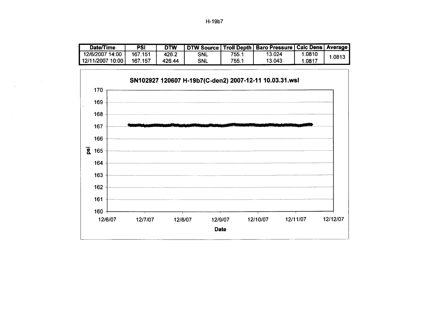| Date/Time        | PSI     | <b>DTW</b> | <b>DTW Source I</b> |      | Troll Depth   Baro Pressure   Calc Dens   Average |        |        |
|------------------|---------|------------|---------------------|------|---------------------------------------------------|--------|--------|
| 12/6/2007 14:00  | 167.151 | 426.2      | <b>SNL</b>          | 755. | 13.024                                            | 1.0810 | 1.0813 |
| 12/11/2007 10:00 | 167.157 | 426.44     | SNL                 | 755. | 13.043                                            | 1.081  |        |

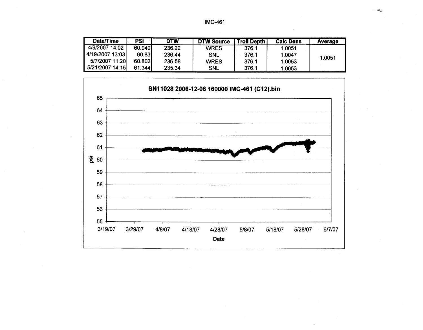| Date/Time       | PSI    | <b>DTW</b> | <b>DTW Source</b> | <b>Troll Depth</b> | <b>Calc Dens</b> | Average |
|-----------------|--------|------------|-------------------|--------------------|------------------|---------|
| 4/9/2007 14:02  | 60.949 | 236.22     | <b>WRES</b>       | 376.1              | 1.0051           |         |
| 4/19/2007 13:03 | 60.83  | 236.44     | <b>SNL</b>        | 376.1              | 1.0047           | 1.0051  |
| 5/7/2007 11:20  | 60.802 | 236.58     | <b>WRES</b>       | 376.1              | 1.0053           |         |
| 5/21/2007 14:15 | 61.344 | 235.34     | <b>SNL</b>        | 376.1              | 1.0053           |         |

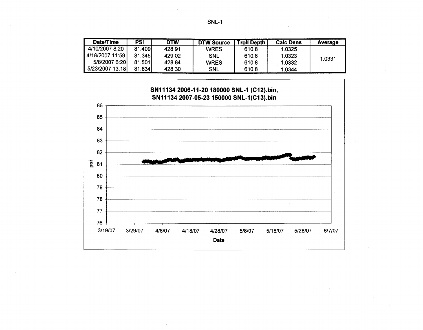| <b>Date/Time</b>   | PSI    | <b>DTW</b> | <b>DTW Source</b> | Troll Depth | <b>Calc Dens</b> | Average |
|--------------------|--------|------------|-------------------|-------------|------------------|---------|
| 4/10/2007 8:20     | 81.409 | 428.91     | <b>WRES</b>       | 610.8       | 1.0325           |         |
| ⊧4/18/2007 11:59 l | 81.345 | 429.02     | <b>SNL</b>        | 610.8       | 1.0323           | 1.0331  |
| 5/8/2007 6:20      | 81.501 | 428.84     | <b>WRES</b>       | 610.8       | 1.0332           |         |
| 5/23/2007 13:18    | 81.834 | 428.30     | <b>SNL</b>        | 610.8       | 1.0344           |         |

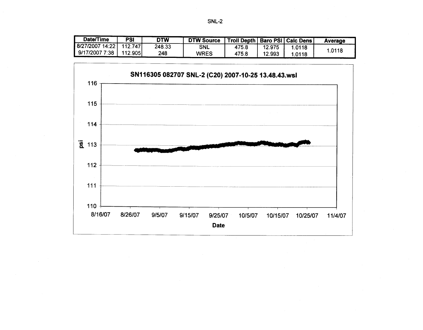|--|--|

| Date/Time       | PSI     | <b>DTW</b> | <b>DTW Source</b> | Troll Depth   Baro PSI   Calc Dens |        |        | Average |
|-----------------|---------|------------|-------------------|------------------------------------|--------|--------|---------|
| 8/27/2007 14:22 | 112.747 | 248.33     | <b>SNL</b>        | 475.8                              | 12.975 | 1.0118 |         |
| 9/17/2007 7:38  | 112.905 | 248        | <b>WRES</b>       | 475.8                              | 12.993 | 1.0118 | 1.0118  |

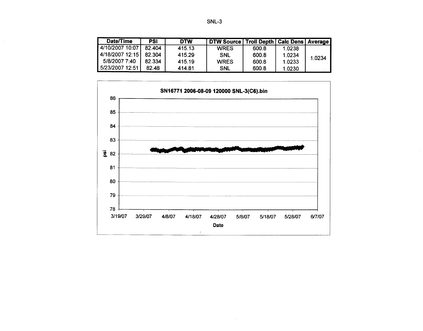| <b>Date/Time</b> | PSI    | <b>DTW</b> | DTW Source   Troll Depth   Calc Dens   Average |       |        |        |
|------------------|--------|------------|------------------------------------------------|-------|--------|--------|
| 4/10/2007 10:07  | 82.404 | 415.13     | <b>WRES</b>                                    | 600.8 | 1.0238 |        |
| 4/18/2007 12:15  | 82.304 | 415.29     | SNL                                            | 600.8 | 1.0234 | 1.0234 |
| 5/8/2007 7:40    | 82.334 | 415.19     | <b>WRES</b>                                    | 600.8 | 1.0233 |        |
| 5/23/2007 12:51  | 82.48  | 414.81     | SNL                                            | 600.8 | 1.0230 |        |

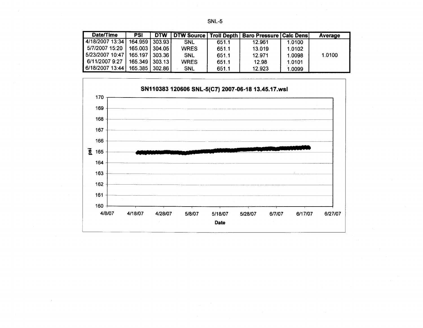|--|--|

| Date/Time        | <b>PSI</b>       | <b>DTW</b> | <b>DTW Source   Troll Depth  </b> |       | <b>Baro Pressure   Calc Dens </b> |        | Average |
|------------------|------------------|------------|-----------------------------------|-------|-----------------------------------|--------|---------|
| 4/18/2007 13:34  | 164.959          | 303.93     | <b>SNL</b>                        | 651.1 | 12.961                            | 1.0100 |         |
| 5/7/2007 15:20 L | 165.003 304.05   |            | <b>WRES</b>                       | 651.1 | 13.019                            | 1.0102 |         |
| 5/23/2007 10:47  | 165.197          | 303.36     | <b>SNL</b>                        | 651.1 | 12.971                            | 1.0098 | 1.0100  |
| 6/11/2007 9:27   | 165.349 303.13 1 |            | <b>WRES</b>                       | 651.1 | 12.98                             | 1.0101 |         |
| 6/18/2007 13:44  | 165.385          | 302.86     | <b>SNL</b>                        | 651.1 | 12.923                            | 1.0099 |         |

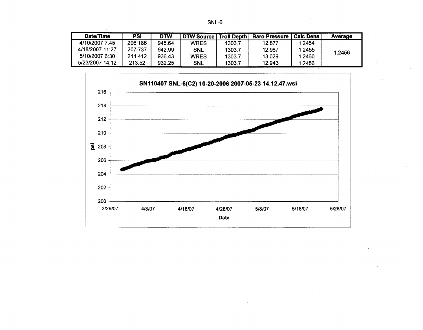| Date/Time       | PSI     | <b>DTW</b> | DTW Source  | Troll Depth | <b>Baro Pressure</b> | l Calc Dens l | Average |
|-----------------|---------|------------|-------------|-------------|----------------------|---------------|---------|
| 4/10/2007 7:45  | 206.186 | 945.64     | <b>WRES</b> | 1303.7      | 12.877               | 1.2454        |         |
| 4/18/2007 11:27 | 207.737 | 942.99     | <b>SNL</b>  | 1303.7      | 12.987               | 1.2455        | 1.2456  |
| 5/10/2007 6:30  | 211.412 | 936.43     | <b>WRES</b> | 1303.7      | 13.029               | 1.2460        |         |
| 5/23/2007 14:12 | 213.52  | 932.25     | <b>SNL</b>  | 1303.7      | 12.943               | 1.2456        |         |

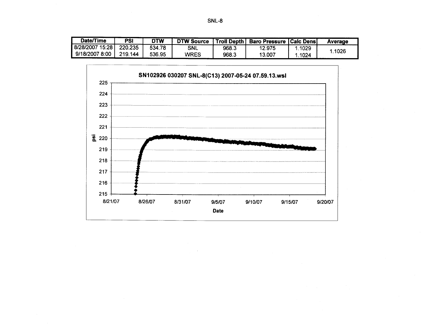| Date/Time       | <b>PSI</b> | <b>DTW</b> | <b>DTW Source</b> |       | <b>Troll Depth   Baro Pressure   Calc Dens </b> |      | Average |
|-----------------|------------|------------|-------------------|-------|-------------------------------------------------|------|---------|
| 8/28/2007 15:28 | 220.235    | 534.78     | SNL               | 968.3 | 12.975                                          | 1029 | .1026   |
| 9/18/2007 8:00  | 219.144    | 536.95     | WRES              | 968.3 | 13.007                                          | 1024 |         |

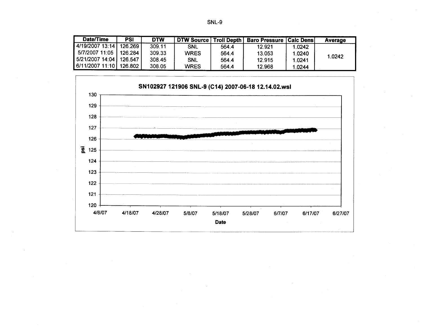| Date/Time                       | PSI      | <b>DTW</b> | DTW Source   Troll Depth |       | <b>Baro Pressure   Calc Dens </b> |        | Average |
|---------------------------------|----------|------------|--------------------------|-------|-----------------------------------|--------|---------|
| $\vert$ 4/19/2007 13:14         | 126,269  | 309.11     | <b>SNL</b>               | 564.4 | 12.921                            | 1.0242 |         |
| 5/7/2007 11:05                  | 126.284  | 309.33     | <b>WRES</b>              | 564.4 | 13.053                            | 1.0240 | 1.0242  |
| $\vert$ 5/21/2007 14:04 $\vert$ | .126.547 | 308.45     | <b>SNL</b>               | 564.4 | 12.915                            | 1.0241 |         |
| 6/11/2007 11:10   126.802       |          | 308.05     | <b>WRES</b>              | 564.4 | 12.968                            | 1.0244 |         |

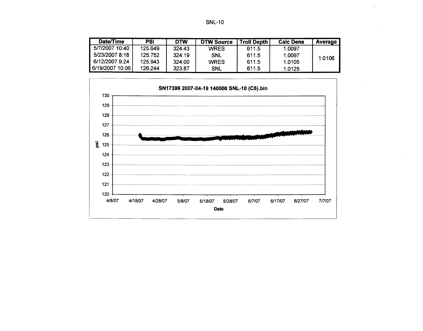| Date/Time       | PSI     | <b>DTW</b> | <b>DTW Source</b> | <b>Troll Depth</b> | <b>Calc Dens</b> | Average |
|-----------------|---------|------------|-------------------|--------------------|------------------|---------|
| 5/7/2007 10:40  | 125.649 | 324.43     | <b>WRES</b>       | 611.5              | 1.0097           |         |
| 5/23/2007 8:18  | 125.752 | 324.19     | <b>SNL</b>        | 611.5              | 1.0097           | 1.0106  |
| 6/12/2007 9:24  | 125.943 | 324.00     | <b>WRES</b>       | 611.5              | 1.0105           |         |
| 6/19/2007 10:06 | 126.244 | 323.87     | <b>SNL</b>        | 611.5              | 1.0125           |         |

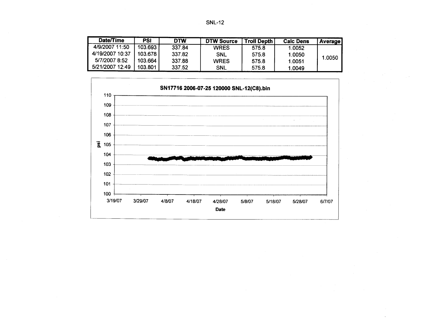| Date/Time       | PSI       | DTW    | <b>DTW Source</b> | <b>Troll Depth</b> | <b>Calc Dens</b> | <b>Average</b> |
|-----------------|-----------|--------|-------------------|--------------------|------------------|----------------|
| 4/9/2007 11:50  | 103.693   | 337.84 | <b>WRES</b>       | 575.8              | 1.0052           |                |
| 4/19/2007 10:37 | 103.678 I | 337.82 | <b>SNL</b>        | 575.8              | 1.0050           |                |
| 5/7/2007 8:52   | 103.664   | 337.88 | <b>WRES</b>       | 575.8              | 1.0051           | 1.0050         |
| 5/21/2007 12:49 | 103.801   | 337.52 | <b>SNL</b>        | 575.8              | 1.0049           |                |

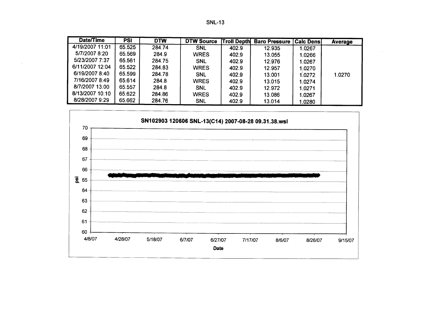| Date/Time       | <b>PSI</b> | <b>DTW</b> | <b>DTW Source</b> | <b>Troll Depth</b> | <b>Baro Pressure   Calc Dens </b> |        | Average |
|-----------------|------------|------------|-------------------|--------------------|-----------------------------------|--------|---------|
| 4/19/2007 11:01 | 65.525     | 284.74     | <b>SNL</b>        | 402.9              | 12.935                            | 1.0267 |         |
| 5/7/2007 8:20   | 65.569     | 284.9      | <b>WRES</b>       | 402.9              | 13.055                            | 1.0266 |         |
| 5/23/2007 7:37  | 65.561     | 284.75     | <b>SNL</b>        | 402.9              | 12.976                            | 1.0267 |         |
| 6/11/2007 12:04 | 65.522     | 284.83     | <b>WRES</b>       | 402.9              | 12.957                            | 1.0270 |         |
| 6/19/2007 8:40  | 65.599     | 284.78     | <b>SNL</b>        | 402.9              | 13.001                            | 1.0272 | 1.0270  |
| 7/16/2007 8:49  | 65.614     | 284.8      | <b>WRES</b>       | 402.9              | 13.015                            | 1.0274 |         |
| 8/7/2007 13:00  | 65.557     | 284.8      | <b>SNL</b>        | 402.9              | 12.972                            | 1.0271 |         |
| 8/13/2007 10:10 | 65.622     | 284.86     | <b>WRES</b>       | 402.9              | 13.086                            | 1.0267 |         |
| 8/28/2007 9:29  | 65.662     | 284.76     | <b>SNL</b>        | 402.9              | 13.014                            | 1.0280 |         |

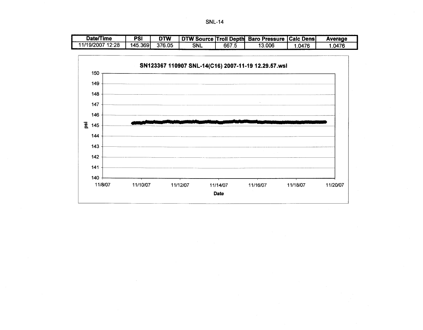**SNL-14** 

| Date/Time        | PSI      | DTW    |            |       | <b>I</b> DTW Source Troll Depth Baro Pressure   Calc Dens |       | Average |
|------------------|----------|--------|------------|-------|-----------------------------------------------------------|-------|---------|
| 11/19/2007 12:28 | 145.3691 | 376.05 | <b>SNL</b> | 667.5 | 13.006                                                    | .0476 | .0476   |

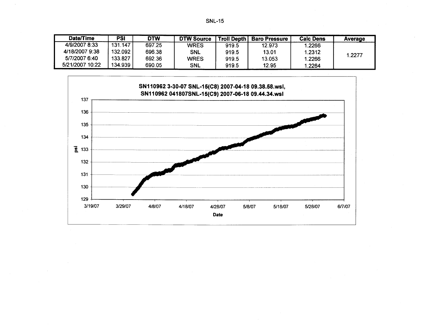| Date/Time       | PSI     | <b>DTW</b> | DTW Source  | <b>Troll Depth</b> | <b>Baro Pressure</b> | Calc Dens | Average |
|-----------------|---------|------------|-------------|--------------------|----------------------|-----------|---------|
| 4/9/2007 8:33   | 131.147 | 697.25     | <b>WRES</b> | 919.5              | 12.973               | 1.2266    |         |
| 4/18/2007 9:38  | 132.092 | 696,38     | <b>SNL</b>  | 919.5              | 13.01                | 1.2312    |         |
| 5/7/2007 6:40   | 133.827 | 692.36     | <b>WRES</b> | 919.5              | 13.053               | 1.2266    | 1.2277  |
| 5/21/2007 10:22 | 134.939 | 690.05     | <b>SNL</b>  | 919.5              | 12.95                | 1.2264    |         |

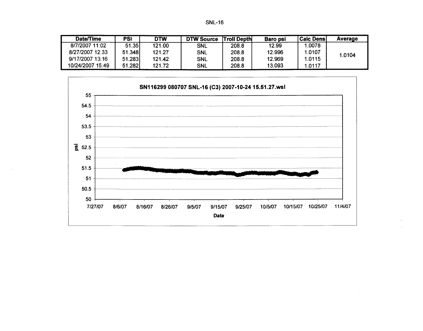| Π<br>u<br>N |  |
|-------------|--|
|-------------|--|

| Date/Time        | PSI    | <b>DTW</b> | <b>DTW Source</b> | <b>Troll Depth</b> | <b>Baro psi</b> | <b>Caic Densi</b> | Average |
|------------------|--------|------------|-------------------|--------------------|-----------------|-------------------|---------|
| 8/7/2007 11:02   | 51.35  | 121.00     | <b>SNL</b>        | 208.8              | 12.99           | .0078             |         |
| 8/27/2007 12:33  | 51.348 | 121.27     | <b>SNL</b>        | 208.8              | 12.996          | 1.0107            | 1.0104  |
| 9/17/2007 13:16  | 51.283 | 121.42     | <b>SNL</b>        | 208.8              | 12.969          | 1.0115            |         |
| 10/24/2007 15:49 | 51.282 | 121.72     | <b>SNL</b>        | 208.8              | 13.093          | .0117             |         |

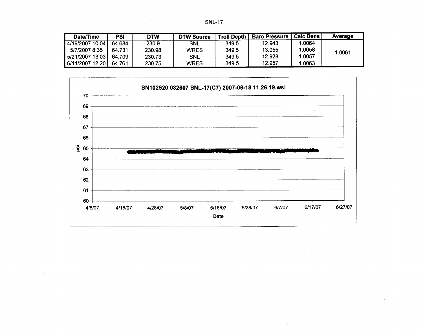| Date/Time         | PSI    | DTW    | <b>DTW Source</b> | Troll Depth | <b>Baro Pressure</b> | Calc Dens | Average |
|-------------------|--------|--------|-------------------|-------------|----------------------|-----------|---------|
| 4/19/2007 10:04   | 64.684 | 230.9  | <b>SNL</b>        | 349.5       | 12.943               | 1.0064    |         |
| 5/7/2007 8:35     | 64.731 | 230.98 | <b>WRES</b>       | 349.5       | 13.055               | 1.0058    | 1.0061  |
| 5/21/2007 13:03 L | 64.709 | 230.73 | <b>SNL</b>        | 349.5       | 12.928               | 1.0057    |         |
| 6/11/2007 12:20   | 64.761 | 230.75 | <b>WRES</b>       | 349.5       | 12.957               | 1.0063    |         |

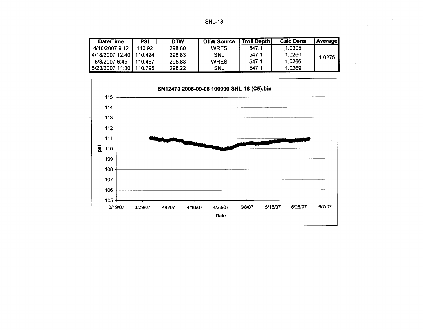| Date/Time                 | <b>PSI</b> | <b>DTW</b> | <b>DTW Source</b> | Troll Depth | <b>Calc Dens</b> | <b>Average</b> |
|---------------------------|------------|------------|-------------------|-------------|------------------|----------------|
| 4/10/2007 9:12            | 110.92     | 298.80     | <b>WRES</b>       | 547.1       | 1.0305           |                |
| 4/18/2007 12:40   110.424 |            | 298.83     | SNL               | 547.1       | 1.0260           | 1.0275         |
| 5/8/2007 6:45             | 110.487    | 298.83     | <b>WRES</b>       | 547.1       | 1.0266           |                |
| 5/23/2007 11:30           | 110.795    | 298.22     | <b>SNL</b>        | 547.1       | 1.0269           |                |

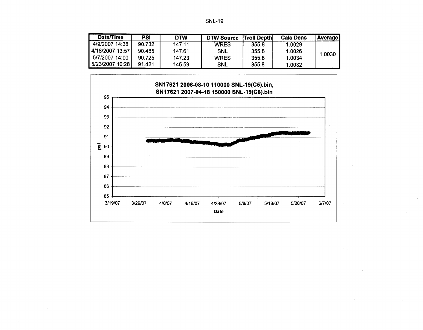| <b>Date/Time</b> | PSI    | <b>DTW</b> | <b>DTW Source</b> | <b>Troll Depth</b> | <b>Calc Dens</b> | <b>Average</b> |
|------------------|--------|------------|-------------------|--------------------|------------------|----------------|
| 4/9/2007 14:38   | 90.732 | 147.11     | <b>WRES</b>       | 355.8              | 1.0029           |                |
| 4/18/2007 13:57  | 90.485 | 147.61     | <b>SNL</b>        | 355.8              | 1.0026           | 1.0030         |
| 5/7/2007 14:00   | 90.725 | 147.23     | <b>WRES</b>       | 355.8              | 1.0034           |                |
| 5/23/2007 10:28  | 91.421 | 145.59     | <b>SNL</b>        | 355.8              | 1.0032           |                |

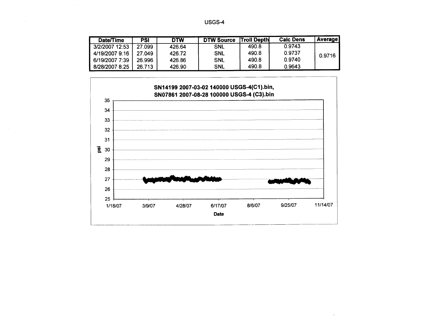| Date/Time      | <b>PSI</b> | <b>DTW</b> | <b>DTW Source</b> | <b>Troll Depth</b> | <b>Calc Dens</b> | <b>Average</b> |
|----------------|------------|------------|-------------------|--------------------|------------------|----------------|
| 3/2/2007 12:53 | 27.099     | 426.64     | <b>SNL</b>        | 490.8              | 0.9743           |                |
| 4/19/2007 9:16 | 27.049     | 426.72     | <b>SNL</b>        | 490.8              | 0.9737           | 0.9716         |
| 6/19/2007 7:39 | 26.996     | 426.86     | <b>SNL</b>        | 490.8              | 0.9740           |                |
| 8/28/2007 8:25 | 26.713     | 426.90     | <b>SNL</b>        | 490.8              | 0.9643           |                |

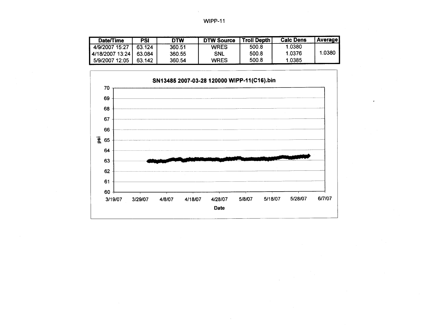| <b>Date/Time</b> | PSI    | <b>DTW</b> | <b>DTW Source</b> | Troll Depth | <b>Calc Dens</b> | <b>Average</b> |
|------------------|--------|------------|-------------------|-------------|------------------|----------------|
| 4/9/2007 15:27   | 63.124 | 360.51     | <b>WRES</b>       | 500.8       | 1.0380           |                |
| 4/18/2007 13:24  | 63.084 | 360.55     | <b>SNL</b>        | 500.8       | 1.0376           | 1.0380         |
| 5/9/2007 12:05   | 63.142 | 360.54     | <b>WRES</b>       | 500.8       | 1.0385           |                |

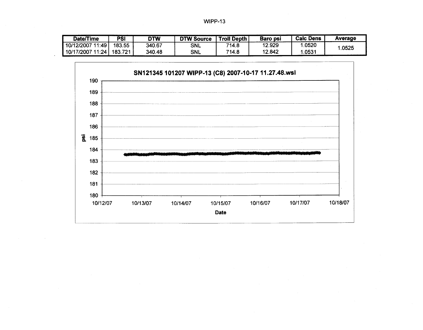| Date/Time           | PSI     | DTW    | <b>DTW Source</b> | <b>Troll Depth</b> | Baro psi | <b>Calc Dens</b> | Average |
|---------------------|---------|--------|-------------------|--------------------|----------|------------------|---------|
| 11:49<br>10/12/2007 | 183.55  | 340.67 | SNL               | 714.8              | 12.929   | .0520            | .0525   |
| 11:24<br>10/17/2007 | 183.721 | 340.48 | SNL               | 714.8              | 12.842   | .0531            |         |

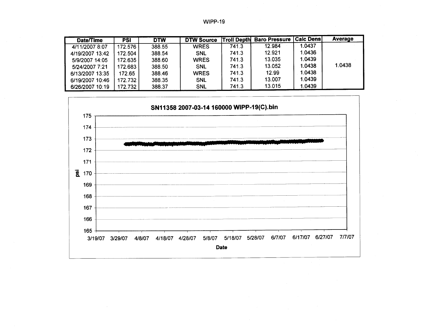|  | <b>WIPP-19</b> |  |
|--|----------------|--|
|--|----------------|--|

| Date/Time       | <b>PSI</b> | <b>DTW</b> | <b>DTW Source</b> |       | <b>Troll Depth Baro Pressure</b> | <b>Calc Densi</b> | <b>Average</b> |
|-----------------|------------|------------|-------------------|-------|----------------------------------|-------------------|----------------|
| 4/11/2007 8:07  | 172.576    | 388.55     | <b>WRES</b>       | 741.3 | 12.984                           | 1.0437            |                |
| 4/19/2007 13:42 | 172.504    | 388.54     | <b>SNL</b>        | 741.3 | 12.921                           | 1.0436            |                |
| 5/9/2007 14:05  | 172.635    | 388.60     | <b>WRES</b>       | 741.3 | 13.035                           | 1.0439            |                |
| 5/24/2007 7:21  | 172.683    | 388.50     | <b>SNL</b>        | 741.3 | 13.052                           | 1.0438            | 1.0438         |
| 6/13/2007 13:35 | 172.65     | 388.46     | <b>WRES</b>       | 741.3 | 12.99                            | 1.0438            |                |
| 6/19/2007 10:46 | 172.732    | 388.35     | <b>SNL</b>        | 741.3 | 13.007                           | 1.0439            |                |
| 6/26/2007 10:19 | 172.732    | 388.37     | <b>SNL</b>        | 741.3 | 13.015                           | 1.0439            |                |

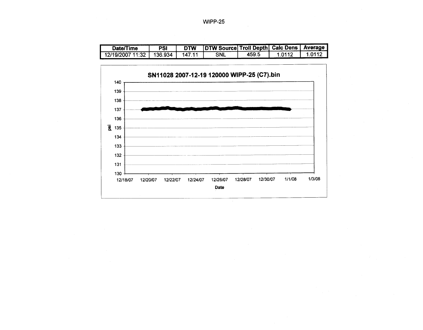WIPP-25

| Date/Time | PSI         | <b>DTW</b> | <b>IDTW SourceL7</b> | <b>Troll Depth Calc Dens</b> | Average |
|-----------|-------------|------------|----------------------|------------------------------|---------|
| ັ້        | -934<br>36. |            | <b>SNL</b>           | 459.                         |         |